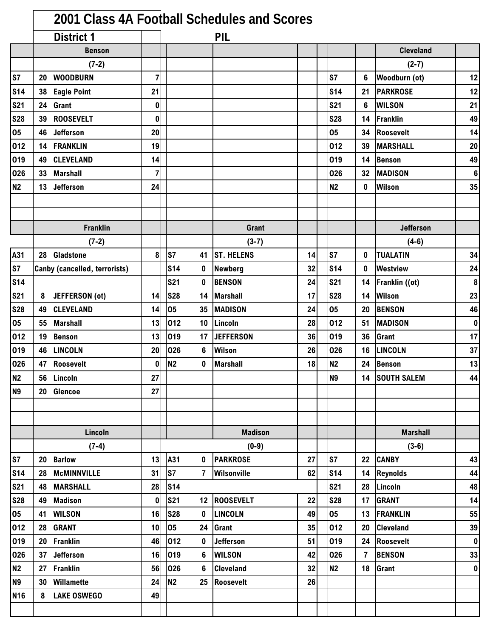|                |    | 2001 Class 4A Football Schedules and Scores |                |                |                |                   |    |                |          |                      |                 |
|----------------|----|---------------------------------------------|----------------|----------------|----------------|-------------------|----|----------------|----------|----------------------|-----------------|
|                |    | <b>District 1</b>                           |                |                |                | PIL               |    |                |          |                      |                 |
|                |    | <b>Benson</b>                               |                |                |                |                   |    |                |          | <b>Cleveland</b>     |                 |
|                |    | $(7-2)$                                     |                |                |                |                   |    |                |          | $(2-7)$              |                 |
| S7             | 20 | <b>WOODBURN</b>                             | $\overline{7}$ |                |                |                   |    | S7             | 6        | <b>Woodburn (ot)</b> | 12              |
| <b>S14</b>     | 38 | <b>Eagle Point</b>                          | 21             |                |                |                   |    | <b>S14</b>     | 21       | <b>PARKROSE</b>      | 12              |
| <b>S21</b>     | 24 | Grant                                       | $\bf{0}$       |                |                |                   |    | <b>S21</b>     | 6        | <b>WILSON</b>        | 21              |
| <b>S28</b>     | 39 | <b>ROOSEVELT</b>                            | $\bf{0}$       |                |                |                   |    | <b>S28</b>     | 14       | Franklin             | 49              |
| 05             | 46 | <b>Jefferson</b>                            | 20             |                |                |                   |    | 05             | 34       | Roosevelt            | 14              |
| 012            | 14 | <b>FRANKLIN</b>                             | 19             |                |                |                   |    | 012            | 39       | <b>MARSHALL</b>      | 20              |
| 019            | 49 | <b>CLEVELAND</b>                            | 14             |                |                |                   |    | 019            | 14       | <b>Benson</b>        | 49              |
| 026            | 33 | <b>Marshall</b>                             | 7              |                |                |                   |    | 026            | 32       | <b>MADISON</b>       | $6\phantom{1}6$ |
| <b>N2</b>      | 13 | <b>Jefferson</b>                            | 24             |                |                |                   |    | N <sub>2</sub> | 0        | Wilson               | 35              |
|                |    |                                             |                |                |                |                   |    |                |          |                      |                 |
|                |    |                                             |                |                |                |                   |    |                |          |                      |                 |
|                |    | <b>Franklin</b>                             |                |                |                | <b>Grant</b>      |    |                |          | <b>Jefferson</b>     |                 |
|                |    | $(7-2)$                                     |                |                |                | $(3-7)$           |    |                |          | $(4-6)$              |                 |
| A31            |    | 28 Gladstone                                | 8              | S7             | 41             | <b>ST. HELENS</b> | 14 | S7             | 0        | <b>TUALATIN</b>      | 34              |
| S7             |    | <b>Canby (cancelled, terrorists)</b>        |                | <b>S14</b>     | $\mathbf 0$    | <b>Newberg</b>    | 32 | <b>S14</b>     | $\bf{0}$ | Westview             | 24              |
| <b>S14</b>     |    |                                             |                | <b>S21</b>     | $\mathbf 0$    | <b>BENSON</b>     | 24 | <b>S21</b>     | 14       | Franklin ((ot)       | 8               |
| <b>S21</b>     | 8  | JEFFERSON (ot)                              | 14             | <b>S28</b>     | 14             | <b>Marshall</b>   | 17 | <b>S28</b>     | 14       | Wilson               | 23              |
| <b>S28</b>     | 49 | <b>CLEVELAND</b>                            | 14             | 05             | 35             | <b>MADISON</b>    | 24 | 05             | 20       | <b>BENSON</b>        | 46              |
| 05             | 55 | <b>Marshall</b>                             | 13             | 012            | 10             | Lincoln           | 28 | 012            | 51       | <b>MADISON</b>       | $\bf{0}$        |
| 012            | 19 | <b>Benson</b>                               | 13             | 019            |                | 17 JEFFERSON      | 36 | 019            | 36       | Grant                | 17              |
| 019            | 46 | <b>LINCOLN</b>                              | 20             | 026            | 6              | <b>Wilson</b>     | 26 | 026            | 16       | <b>LINCOLN</b>       | 37              |
| 026            | 47 | <b>Roosevelt</b>                            | $\bf{0}$       | N <sub>2</sub> | $\mathbf{0}$   | <b>Marshall</b>   | 18 | <b>N2</b>      | 24       | <b>Benson</b>        | 13              |
| <b>N2</b>      | 56 | Lincoln                                     | 27             |                |                |                   |    | N <sub>9</sub> | 14       | <b>SOUTH SALEM</b>   | 44              |
| N <sub>9</sub> | 20 | <b>Glencoe</b>                              | 27             |                |                |                   |    |                |          |                      |                 |
|                |    |                                             |                |                |                |                   |    |                |          |                      |                 |
|                |    |                                             |                |                |                |                   |    |                |          |                      |                 |
|                |    | Lincoln                                     |                |                |                | <b>Madison</b>    |    |                |          | <b>Marshall</b>      |                 |
|                |    | $(7-4)$                                     |                |                |                | $(0-9)$           |    |                |          | $(3-6)$              |                 |
| S7             | 20 | <b>Barlow</b>                               | 13             | A31            | 0              | <b>PARKROSE</b>   | 27 | S7             | 22       | <b>CANBY</b>         | 43              |
| <b>S14</b>     | 28 | <b>McMINNVILLE</b>                          | 31             | ls7            | $\overline{7}$ | Wilsonville       | 62 | <b>S14</b>     | 14       | Reynolds             | 44              |
| <b>S21</b>     | 48 | <b>MARSHALL</b>                             | 28             | <b>S14</b>     |                |                   |    | <b>S21</b>     | 28       | Lincoln              | 48              |
| <b>S28</b>     | 49 | <b>Madison</b>                              | $\bf{0}$       | <b>S21</b>     |                | 12 ROOSEVELT      | 22 | <b>S28</b>     | 17       | <b>GRANT</b>         | 14              |
| 05             | 41 | <b>WILSON</b>                               | 16             | <b>S28</b>     | $\mathbf 0$    | <b>LINCOLN</b>    | 49 | 05             | 13       | <b>FRANKLIN</b>      | 55              |
| 012            | 28 | <b>GRANT</b>                                | 10             | 05             | 24             | <b>Grant</b>      | 35 | 012            | 20       | <b>Cleveland</b>     | 39              |
| 019            | 20 | <b>Franklin</b>                             | 46             | 012            | $\mathbf 0$    | Jefferson         | 51 | 019            | 24       | Roosevelt            | $\pmb{0}$       |
| 026            | 37 | <b>Jefferson</b>                            | 16             | 019            | 6              | <b>WILSON</b>     | 42 | 026            | 7        | <b>BENSON</b>        | 33              |
| <b>N2</b>      | 27 | <b>Franklin</b>                             | 56             | 026            | 6              | <b>Cleveland</b>  | 32 | <b>N2</b>      | 18       | Grant                | $\mathbf 0$     |
| N <sub>9</sub> | 30 | Willamette                                  | 24             | N <sub>2</sub> | 25             | Roosevelt         | 26 |                |          |                      |                 |
| <b>N16</b>     | 8  | <b>LAKE OSWEGO</b>                          | 49             |                |                |                   |    |                |          |                      |                 |
|                |    |                                             |                |                |                |                   |    |                |          |                      |                 |
|                |    |                                             |                |                |                |                   |    |                |          |                      |                 |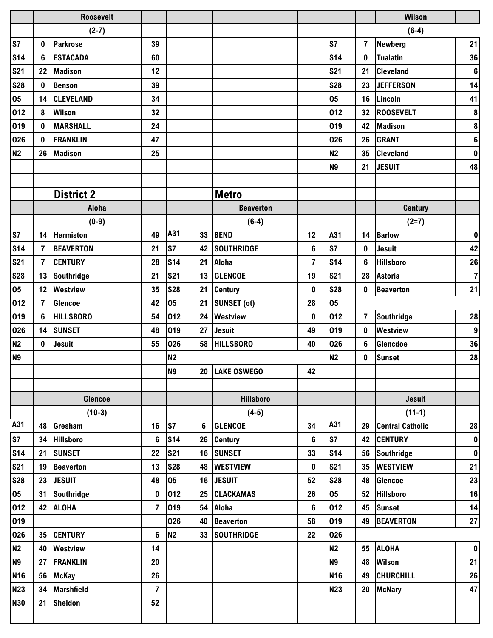|                |                | <b>Roosevelt</b>  |                         |                |    |                    |                |                 |                | <b>Wilson</b>           |                  |
|----------------|----------------|-------------------|-------------------------|----------------|----|--------------------|----------------|-----------------|----------------|-------------------------|------------------|
|                |                | $(2-7)$           |                         |                |    |                    |                |                 |                | $(6-4)$                 |                  |
| S7             | 0              | <b>Parkrose</b>   | 39                      |                |    |                    |                | S7              | $\overline{7}$ | <b>Newberg</b>          | 21               |
| <b>S14</b>     | 6              | <b>ESTACADA</b>   | 60                      |                |    |                    |                | <b>S14</b>      | $\bf{0}$       | <b>Tualatin</b>         | 36               |
| <b>S21</b>     | 22             | <b>Madison</b>    | 12                      |                |    |                    |                | <b>S21</b>      | 21             | <b>Cleveland</b>        | $\bf 6$          |
| <b>S28</b>     | 0              | <b>Benson</b>     | 39                      |                |    |                    |                | <b>S28</b>      | 23             | <b>JEFFERSON</b>        | 14               |
| 05             | 14             | <b>CLEVELAND</b>  | 34                      |                |    |                    |                | 05              | 16             | Lincoln                 | 41               |
| 012            | 8              | <b>Wilson</b>     | 32                      |                |    |                    |                | 012             | 32             | <b>ROOSEVELT</b>        | $\pmb{8}$        |
| 019            | $\mathbf{0}$   | <b>MARSHALL</b>   | 24                      |                |    |                    |                | 019             | 42             | <b>Madison</b>          | $\pmb{8}$        |
| 026            | 0              | <b>FRANKLIN</b>   | 47                      |                |    |                    |                | 026             | 26             | <b>GRANT</b>            | $\bf 6$          |
| N <sub>2</sub> | 26             | <b>Madison</b>    | 25                      |                |    |                    |                | N2              | 35             | <b>Cleveland</b>        | $\pmb{0}$        |
|                |                |                   |                         |                |    |                    |                | <b>N9</b>       | 21             | <b>JESUIT</b>           | 48               |
|                |                |                   |                         |                |    |                    |                |                 |                |                         |                  |
|                |                | <b>District 2</b> |                         |                |    | <b>Metro</b>       |                |                 |                |                         |                  |
|                |                | Aloha             |                         |                |    | <b>Beaverton</b>   |                |                 |                | <b>Century</b>          |                  |
|                |                | $(0-9)$           |                         |                |    | $(6-4)$            |                |                 |                | $(2=7)$                 |                  |
| S7             | 14             | Hermiston         | 49                      | A31            | 33 | <b>BEND</b>        | 12             | A31             | 14             | <b>Barlow</b>           | $\pmb{0}$        |
| <b>S14</b>     | 7              | <b>BEAVERTON</b>  | 21                      | ls7            | 42 | <b>SOUTHRIDGE</b>  | $6\phantom{1}$ | S7              | $\bf{0}$       | <b>Jesuit</b>           | 42               |
| <b>S21</b>     | $\overline{7}$ | <b>CENTURY</b>    | 28                      | <b>S14</b>     | 21 | Aloha              | $\overline{7}$ | <b>S14</b>      | 6              | <b>Hillsboro</b>        | 26               |
| <b>S28</b>     | 13             | Southridge        | 21                      | <b>S21</b>     | 13 | <b>GLENCOE</b>     | 19             | <b>S21</b>      | 28             | <b>Astoria</b>          | $\overline{7}$   |
| 05             | 12             | <b>Westview</b>   | 35                      | <b>S28</b>     | 21 | <b>Century</b>     | $\mathbf 0$    | <b>S28</b>      | 0              | <b>Beaverton</b>        | 21               |
| 012            | $\overline{7}$ | <b>Glencoe</b>    | 42                      | 05             | 21 | <b>SUNSET (ot)</b> | 28             | 05              |                |                         |                  |
| 019            | 6              | <b>HILLSBORO</b>  | 54                      | 012            | 24 | <b>Westview</b>    | 0              | 012             | $\overline{7}$ | <b>Southridge</b>       | 28               |
| 026            | 14             | <b>SUNSET</b>     | 48                      | 019            | 27 | <b>Jesuit</b>      | 49             | 019             | $\bf{0}$       | Westview                | $\boldsymbol{9}$ |
| <b>N2</b>      | $\mathbf 0$    | Jesuit            | 55                      | 026            | 58 | <b>HILLSBORO</b>   | 40             | 026             | 6              | Glencdoe                | 36               |
| <b>N9</b>      |                |                   |                         | <b>N2</b>      |    |                    |                | <b>N2</b>       | 0              | <b>Sunset</b>           | 28               |
|                |                |                   |                         | N <sub>9</sub> |    | 20 LAKE OSWEGO     | 42             |                 |                |                         |                  |
|                |                |                   |                         |                |    |                    |                |                 |                |                         |                  |
|                |                | Glencoe           |                         |                |    | <b>Hillsboro</b>   |                |                 |                | <b>Jesuit</b>           |                  |
|                |                | $(10-3)$          |                         |                |    | $(4-5)$            |                |                 |                | $(11-1)$                |                  |
| A31            | 48             | Gresham           | 16                      | <b>S7</b>      | 6  | <b>GLENCOE</b>     | 34             | A31             | 29             | <b>Central Catholic</b> | 28               |
| <b>S7</b>      | 34             | <b>Hillsboro</b>  | 6                       | <b>S14</b>     | 26 | <b>Century</b>     | $6\phantom{a}$ | S7              | 42             | <b>CENTURY</b>          | $\pmb{0}$        |
| <b>S14</b>     | 21             | <b>SUNSET</b>     | 22                      | <b>S21</b>     | 16 | <b>SUNSET</b>      | 33             | <b>S14</b>      | 56             | Southridge              | $\pmb{0}$        |
| <b>S21</b>     | 19             | <b>Beaverton</b>  | 13                      | <b>S28</b>     | 48 | <b>WESTVIEW</b>    | $\pmb{0}$      | <b>S21</b>      | 35             | <b>WESTVIEW</b>         | 21               |
| <b>S28</b>     | 23             | <b>JESUIT</b>     | 48                      | 05             | 16 | <b>JESUIT</b>      | 52             | <b>S28</b>      | 48             | Glencoe                 | 23               |
| 05             | 31             | Southridge        | 0                       | 012            | 25 | <b>CLACKAMAS</b>   | 26             | 05              | 52             | <b>Hillsboro</b>        | 16               |
| 012            |                | 42 ALOHA          | $\overline{\mathbf{r}}$ | 019            | 54 | Aloha              | $6\phantom{a}$ | 012             | 45             | <b>Sunset</b>           | 14               |
| 019            |                |                   |                         | 026            | 40 | <b>Beaverton</b>   | 58             | 019             | 49             | <b>BEAVERTON</b>        | ${\bf 27}$       |
| 026            |                | 35 CENTURY        | 6                       | N <sub>2</sub> | 33 | <b>SOUTHRIDGE</b>  | 22             | 026             |                |                         |                  |
| <b>N2</b>      | 40             | <b>Westview</b>   | 14                      |                |    |                    |                | <b>N2</b>       | 55             | <b>ALOHA</b>            | $\pmb{0}$        |
| <b>N9</b>      | 27             | FRANKLIN          | 20                      |                |    |                    |                | <b>N9</b>       | 48             | <b>Wilson</b>           | 21               |
| <b>N16</b>     |                | 56 McKay          | 26                      |                |    |                    |                | N <sub>16</sub> | 49             | <b>CHURCHILL</b>        | 26               |
| <b>N23</b>     | 34             | <b>Marshfield</b> | $\overline{7}$          |                |    |                    |                | <b>N23</b>      | 20             | <b>McNary</b>           | 47               |
| <b>N30</b>     | 21             | <b>Sheldon</b>    | 52                      |                |    |                    |                |                 |                |                         |                  |
|                |                |                   |                         |                |    |                    |                |                 |                |                         |                  |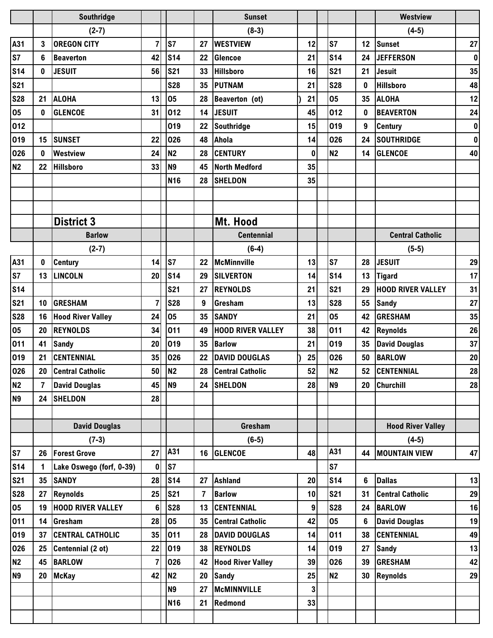|                 |                | Southridge               |                |                 |                 | <b>Sunset</b>            |          |                |                 | <b>Westview</b>          |           |
|-----------------|----------------|--------------------------|----------------|-----------------|-----------------|--------------------------|----------|----------------|-----------------|--------------------------|-----------|
|                 |                | $(2-7)$                  |                |                 |                 | $(8-3)$                  |          |                |                 | $(4-5)$                  |           |
| A31             | 3              | <b>OREGON CITY</b>       | $\overline{7}$ | S7              | 27              | <b>WESTVIEW</b>          | 12       | S7             | 12 <sub>2</sub> | <b>Sunset</b>            | 27        |
| S7              | 6              | <b>Beaverton</b>         | 42             | <b>S14</b>      | 22              | Glencoe                  | 21       | <b>S14</b>     | 24              | <b>JEFFERSON</b>         | $\pmb{0}$ |
| <b>S14</b>      | $\mathbf 0$    | <b>JESUIT</b>            | 56             | <b>S21</b>      | 33              | <b>Hillsboro</b>         | 16       | <b>S21</b>     | 21              | <b>Jesuit</b>            | 35        |
| <b>S21</b>      |                |                          |                | <b>S28</b>      | 35              | <b>PUTNAM</b>            | 21       | <b>S28</b>     | 0               | <b>Hillsboro</b>         | 48        |
| <b>S28</b>      | 21             | <b>ALOHA</b>             | 13             | 05              | 28              | Beaverton (ot)           | 21       | 05             | 35              | <b>ALOHA</b>             | 12        |
| 05              | 0              | <b>GLENCOE</b>           | 31             | 012             | 14              | <b>JESUIT</b>            | 45       | 012            | 0               | <b>BEAVERTON</b>         | 24        |
| 012             |                |                          |                | 019             | 22              | Southridge               | 15       | 019            | 9               | <b>Century</b>           | $\pmb{0}$ |
| 019             | 15             | <b>SUNSET</b>            | 22             | 026             | 48              | Ahola                    | 14       | 026            | 24              | <b>SOUTHRIDGE</b>        | $\pmb{0}$ |
| 026             | 0              | <b>Westview</b>          | 24             | <b>N2</b>       | 28              | <b>CENTURY</b>           | $\bf{0}$ | <b>N2</b>      | 14              | <b>GLENCOE</b>           | 40        |
| <b>N2</b>       | 22             | <b>Hillsboro</b>         | 33             | N <sub>9</sub>  | 45              | <b>North Medford</b>     | 35       |                |                 |                          |           |
|                 |                |                          |                | N <sub>16</sub> | 28              | <b>SHELDON</b>           | 35       |                |                 |                          |           |
|                 |                |                          |                |                 |                 |                          |          |                |                 |                          |           |
|                 |                |                          |                |                 |                 |                          |          |                |                 |                          |           |
|                 |                | <b>District 3</b>        |                |                 |                 | Mt. Hood                 |          |                |                 |                          |           |
|                 |                | <b>Barlow</b>            |                |                 |                 | <b>Centennial</b>        |          |                |                 | <b>Central Catholic</b>  |           |
|                 |                | $(2-7)$                  |                |                 |                 | $(6-4)$                  |          |                |                 | $(5-5)$                  |           |
| A31             | 0              | <b>Century</b>           | 14             | S7              | 22              | McMinnville              | 13       | S7             | 28              | <b>JESUIT</b>            | 29        |
| S7              | 13             | <b>LINCOLN</b>           | 20             | <b>S14</b>      | 29              | <b>SILVERTON</b>         | 14       | <b>S14</b>     | 13              | <b>Tigard</b>            | 17        |
| <b>S14</b>      |                |                          |                | <b>S21</b>      | 27              | <b>REYNOLDS</b>          | 21       | <b>S21</b>     | 29              | <b>HOOD RIVER VALLEY</b> | 31        |
| <b>S21</b>      | 10             | <b>GRESHAM</b>           | 7              | <b>S28</b>      | 9               | Gresham                  | 13       | <b>S28</b>     | 55              | <b>Sandy</b>             | 27        |
| <b>S28</b>      | 16             | <b>Hood River Valley</b> | 24             | 05              | 35              | <b>SANDY</b>             | 21       | 05             | 42              | <b>GRESHAM</b>           | 35        |
| 05              | 20             | <b>REYNOLDS</b>          | 34             | 011             | 49              | <b>HOOD RIVER VALLEY</b> | 38       | 011            | 42              | <b>Reynolds</b>          | 26        |
| 011             | 41             | <b>Sandy</b>             | 20             | 019             | 35              | <b>Barlow</b>            | 21       | 019            | 35              | <b>David Douglas</b>     | 37        |
| 019             | 21             | <b>CENTENNIAL</b>        | 35             | 026             | 22              | <b>DAVID DOUGLAS</b>     | 25       | 026            | 50              | <b>BARLOW</b>            | 20        |
| 026             |                | 20 Central Catholic      | 50             | N <sub>2</sub>  |                 | 28 Central Catholic      | 52       | N <sub>2</sub> |                 | 52 CENTENNIAL            | 28        |
| N <sub>2</sub>  | $\overline{7}$ | <b>David Douglas</b>     | 45             | N <sub>9</sub>  |                 | 24 SHELDON               | 28       | <b>N9</b>      |                 | 20 Churchill             | 28        |
| N <sub>9</sub>  | 24             | <b>SHELDON</b>           | 28             |                 |                 |                          |          |                |                 |                          |           |
|                 |                |                          |                |                 |                 |                          |          |                |                 |                          |           |
|                 |                | <b>David Douglas</b>     |                |                 |                 | Gresham                  |          |                |                 | <b>Hood River Valley</b> |           |
|                 |                | $(7-3)$                  |                |                 |                 | $(6-5)$                  |          |                |                 | $(4-5)$                  |           |
| S7              | 26             | <b>Forest Grove</b>      | 27             | A31             |                 | 16 GLENCOE               | 48       | A31            |                 | 44   MOUNTAIN VIEW       | 47        |
| S <sub>14</sub> | 1              | Lake Oswego (forf, 0-39) | $\bf{0}$       | S7              |                 |                          |          | <b>S7</b>      |                 |                          |           |
| <b>S21</b>      | 35             | <b>SANDY</b>             | 28             | <b>S14</b>      | 27              | <b>Ashland</b>           | 20       | <b>S14</b>     | 6               | <b>Dallas</b>            | 13        |
| <b>S28</b>      | 27             | <b>Reynolds</b>          | 25             | <b>S21</b>      | $\overline{7}$  | <b>Barlow</b>            | 10       | <b>S21</b>     | 31              | <b>Central Catholic</b>  | 29        |
| 05              | 19             | <b>HOOD RIVER VALLEY</b> | 6              | <b>S28</b>      |                 | 13 CENTENNIAL            | 9        | <b>S28</b>     | 24              | <b>BARLOW</b>            | 16        |
| 011             | 14             | Gresham                  | 28             | 05              | 35 <sub>5</sub> | <b>Central Catholic</b>  | 42       | 05             | 6               | <b>David Douglas</b>     | 19        |
| 019             | 37             | <b>CENTRAL CATHOLIC</b>  | 35             | 011             | 28              | <b>DAVID DOUGLAS</b>     | 14       | 011            | 38              | <b>CENTENNIAL</b>        | 49        |
| 026             | 25             | Centennial (2 ot)        | 22             | 019             | 38              | <b>REYNOLDS</b>          | 14       | 019            | 27              | <b>Sandy</b>             | 13        |
| <b>N2</b>       | 45             | <b>BARLOW</b>            | $\overline{7}$ | 026             | 42              | <b>Hood River Valley</b> | 39       | 026            | 39              | <b>GRESHAM</b>           | 42        |
| <b>N9</b>       | 20             | <b>McKay</b>             | 42             | N2              | 20              | <b>Sandy</b>             | 25       | <b>N2</b>      |                 | 30 Reynolds              | 29        |
|                 |                |                          |                | N <sub>9</sub>  | 27              | <b>McMINNVILLE</b>       | 3        |                |                 |                          |           |
|                 |                |                          |                | <b>N16</b>      | 21              | Redmond                  | 33       |                |                 |                          |           |
|                 |                |                          |                |                 |                 |                          |          |                |                 |                          |           |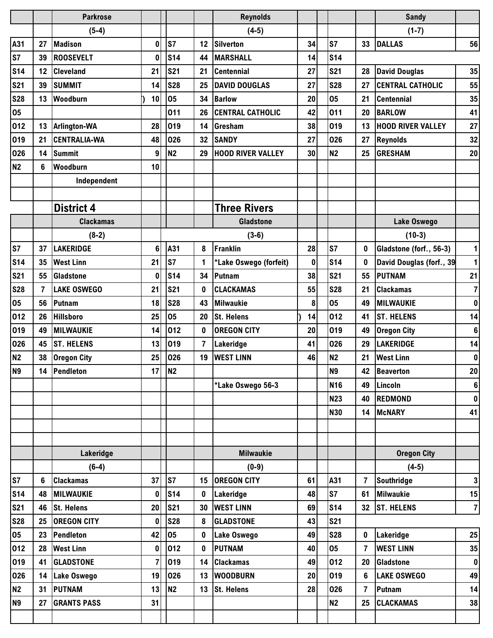|                |                | <b>Parkrose</b>     |              |                |                | <b>Reynolds</b>          |    |                 |          | <b>Sandy</b>             |                 |
|----------------|----------------|---------------------|--------------|----------------|----------------|--------------------------|----|-----------------|----------|--------------------------|-----------------|
|                |                | $(5-4)$             |              |                |                | $(4-5)$                  |    |                 |          | $(1-7)$                  |                 |
| A31            | 27             | <b>Madison</b>      | 0            | S7             | 12             | <b>Silverton</b>         | 34 | S <sub>7</sub>  | 33       | <b>DALLAS</b>            | 56              |
| S7             | 39             | <b>ROOSEVELT</b>    | $\mathbf{0}$ | <b>S14</b>     | 44             | <b>MARSHALL</b>          | 14 | <b>S14</b>      |          |                          |                 |
| <b>S14</b>     | 12             | <b>Cleveland</b>    | 21           | <b>S21</b>     | 21             | <b>Centennial</b>        | 27 | <b>S21</b>      | 28       | <b>David Douglas</b>     | 35              |
| <b>S21</b>     | 39             | <b>SUMMIT</b>       | 14           | <b>S28</b>     | 25             | <b>DAVID DOUGLAS</b>     | 27 | <b>S28</b>      | 27       | <b>CENTRAL CATHOLIC</b>  | 55              |
| <b>S28</b>     | 13             | Woodburn            | 10           | 05             | 34             | <b>Barlow</b>            | 20 | 05              | 21       | <b>Centennial</b>        | 35              |
| 05             |                |                     |              | 011            | 26             | <b>CENTRAL CATHOLIC</b>  | 42 | 011             | 20       | <b>BARLOW</b>            | 41              |
| 012            | 13             | Arlington-WA        | 28           | 019            | 14             | Gresham                  | 38 | 019             | 13       | <b>HOOD RIVER VALLEY</b> | 27              |
| 019            | 21             | <b>CENTRALIA-WA</b> | 48           | 026            | 32             | <b>SANDY</b>             | 27 | 026             | 27       | <b>Reynolds</b>          | 32              |
| 026            | 14             | <b>Summit</b>       | 9            | N <sub>2</sub> | 29             | <b>HOOD RIVER VALLEY</b> | 30 | <b>N2</b>       | 25       | <b>GRESHAM</b>           | 20              |
| <b>N2</b>      | 6              | Woodburn            | 10           |                |                |                          |    |                 |          |                          |                 |
|                |                | Independent         |              |                |                |                          |    |                 |          |                          |                 |
|                |                |                     |              |                |                |                          |    |                 |          |                          |                 |
|                |                | <b>District 4</b>   |              |                |                | <b>Three Rivers</b>      |    |                 |          |                          |                 |
|                |                | <b>Clackamas</b>    |              |                |                | <b>Gladstone</b>         |    |                 |          | Lake Oswego              |                 |
|                |                | $(8-2)$             |              |                |                | $(3-6)$                  |    |                 |          | $(10-3)$                 |                 |
| S7             | 37             | <b>LAKERIDGE</b>    | 6            | A31            | 8              | Franklin                 | 28 | S <sub>7</sub>  | 0        | Gladstone (forf., 56-3)  | 1               |
| <b>S14</b>     | 35             | <b>West Linn</b>    | 21           | ls7            | 1              | *Lake Oswego (forfeit)   | 0  | <b>S14</b>      | 0        | David Douglas (forf., 39 | 1               |
| <b>S21</b>     | 55             | <b>Gladstone</b>    | 0            | <b>S14</b>     | 34             | Putnam                   | 38 | <b>S21</b>      | 55       | <b>PUTNAM</b>            | 21              |
| <b>S28</b>     | $\overline{7}$ | <b>LAKE OSWEGO</b>  | 21           | <b>S21</b>     | 0              | <b>CLACKAMAS</b>         | 55 | <b>S28</b>      | 21       | <b>Clackamas</b>         | $\overline{7}$  |
| 05             | 56             | Putnam              | 18           | <b>S28</b>     | 43             | <b>Milwaukie</b>         | 8  | 05              | 49       | <b>MILWAUKIE</b>         | $\pmb{0}$       |
| 012            | 26             | <b>Hillsboro</b>    | 25           | 05             | 20             | <b>St. Helens</b>        | 14 | 012             | 41       | <b>ST. HELENS</b>        | 14              |
| 019            | 49             | <b>MILWAUKIE</b>    | 14           | 012            | 0              | <b>OREGON CITY</b>       | 20 | 019             | 49       | <b>Oregon City</b>       | 6               |
| 026            | 45             | <b>ST. HELENS</b>   | 13           | 019            | $\overline{7}$ | Lakeridge                | 41 | 026             | 29       | <b>LAKERIDGE</b>         | 14              |
| <b>N2</b>      | 38             | <b>Oregon City</b>  | 25           | 026            | 19             | <b>WEST LINN</b>         | 46 | N <sub>2</sub>  | 21       | <b>West Linn</b>         | $\pmb{0}$       |
| N <sub>9</sub> | 14             | Pendleton           |              | $17$ N2        |                |                          |    | N9              | 42       | <b>Beaverton</b>         | 20 <sub>l</sub> |
|                |                |                     |              |                |                | *Lake Oswego 56-3        |    | N <sub>16</sub> | 49       | Lincoln                  | $6\phantom{1}$  |
|                |                |                     |              |                |                |                          |    | N23             | 40       | <b>REDMOND</b>           | 0               |
|                |                |                     |              |                |                |                          |    | <b>N30</b>      | 14       | <b>McNARY</b>            | 41              |
|                |                |                     |              |                |                |                          |    |                 |          |                          |                 |
|                |                |                     |              |                |                |                          |    |                 |          |                          |                 |
|                |                | Lakeridge           |              |                |                | <b>Milwaukie</b>         |    |                 |          | <b>Oregon City</b>       |                 |
|                |                | $(6-4)$             |              |                |                | $(0-9)$                  |    |                 |          | $(4-5)$                  |                 |
| S7             | 6              | <b>Clackamas</b>    | 37           | S7             | 15             | <b>OREGON CITY</b>       | 61 | A31             | 7        | <b>Southridge</b>        | 3 <sup>1</sup>  |
| <b>S14</b>     | 48             | <b>MILWAUKIE</b>    | 0            | <b>S14</b>     | 0              | Lakeridge                | 48 | <b>S7</b>       | 61       | <b>Milwaukie</b>         | 15              |
| <b>S21</b>     | 46             | <b>St. Helens</b>   | 20           | <b>S21</b>     | 30             | <b>WEST LINN</b>         | 69 | <b>S14</b>      | 32       | <b>ST. HELENS</b>        | $\mathbf{7}$    |
| <b>S28</b>     | 25             | <b>OREGON CITY</b>  | 0            | <b>S28</b>     | 8              | <b>GLADSTONE</b>         | 43 | <b>S21</b>      |          |                          |                 |
| 05             | 23             | Pendleton           | 42           | 05             | 0              | Lake Oswego              | 49 | <b>S28</b>      | $\bf{0}$ | Lakeridge                | 25              |
| 012            | 28             | <b>West Linn</b>    | 0            | 012            | $\mathbf 0$    | <b>PUTNAM</b>            | 40 | 05              | 7        | <b>WEST LINN</b>         | 35              |
| 019            | 41             | <b>GLADSTONE</b>    | 7            | 019            | 14             | <b>Clackamas</b>         | 49 | 012             | 20       | Gladstone                | $\mathbf 0$     |
| 026            | 14             | <b>Lake Oswego</b>  | 19           | 026            | 13             | <b>WOODBURN</b>          | 20 | 019             | 6        | <b>LAKE OSWEGO</b>       | 49              |
| N <sub>2</sub> | 31             | <b>PUTNAM</b>       | 13           | N <sub>2</sub> | 13             | <b>St. Helens</b>        | 28 | 026             | 7        | Putnam                   | 14              |
| <b>N9</b>      | 27             | <b>GRANTS PASS</b>  | 31           |                |                |                          |    | N2              | 25       | <b>CLACKAMAS</b>         | 38              |
|                |                |                     |              |                |                |                          |    |                 |          |                          |                 |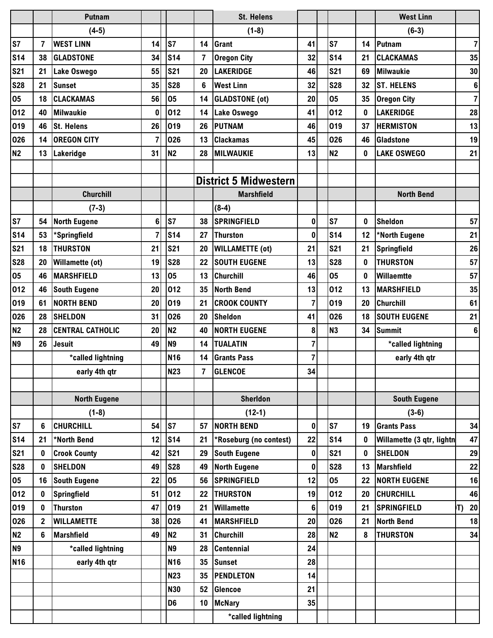|            |              | <b>Putnam</b>           |                |                 |                | <b>St. Helens</b>            |                |                |    | <b>West Linn</b>          |    |                  |
|------------|--------------|-------------------------|----------------|-----------------|----------------|------------------------------|----------------|----------------|----|---------------------------|----|------------------|
|            |              | $(4-5)$                 |                |                 |                | $(1-8)$                      |                |                |    | $(6-3)$                   |    |                  |
| S7         | 7            | <b>WEST LINN</b>        | 14             | <b>S7</b>       | 14             | <b>Grant</b>                 | 41             | <b>S7</b>      | 14 | Putnam                    |    | $\overline{7}$   |
| <b>S14</b> | 38           | <b>GLADSTONE</b>        | 34             | <b>S14</b>      | 7              | <b>Oregon City</b>           | 32             | <b>S14</b>     | 21 | <b>CLACKAMAS</b>          |    | 35               |
| <b>S21</b> | 21           | Lake Oswego             | 55             | <b>S21</b>      | 20             | <b>LAKERIDGE</b>             | 46             | <b>S21</b>     | 69 | <b>Milwaukie</b>          |    | 30               |
| <b>S28</b> | 21           | <b>Sunset</b>           | 35             | <b>S28</b>      | 6              | <b>West Linn</b>             | 32             | <b>S28</b>     | 32 | <b>ST. HELENS</b>         |    | $\boldsymbol{6}$ |
| 05         | 18           | <b>CLACKAMAS</b>        | 56             | 05              | 14             | <b>GLADSTONE</b> (ot)        | 20             | 05             | 35 | <b>Oregon City</b>        |    | $\overline{7}$   |
| 012        | 40           | <b>Milwaukie</b>        | 0              | 012             | 14             | Lake Oswego                  | 41             | 012            | 0  | <b>LAKERIDGE</b>          |    | 28               |
| 019        | 46           | <b>St. Helens</b>       | 26             | 019             | 26             | <b>PUTNAM</b>                | 46             | 019            | 37 | <b>HERMISTON</b>          |    | 13               |
| 026        | 14           | <b>OREGON CITY</b>      | $\overline{7}$ | 026             | 13             | <b>Clackamas</b>             | 45             | 026            | 46 | Gladstone                 |    | 19               |
| <b>N2</b>  | 13           | Lakeridge               | 31             | N <sub>2</sub>  | 28             | <b>MILWAUKIE</b>             | 13             | N <sub>2</sub> | 0  | <b>LAKE OSWEGO</b>        |    | 21               |
|            |              |                         |                |                 |                |                              |                |                |    |                           |    |                  |
|            |              |                         |                |                 |                | <b>District 5 Midwestern</b> |                |                |    |                           |    |                  |
|            |              | <b>Churchill</b>        |                |                 |                | <b>Marshfield</b>            |                |                |    | <b>North Bend</b>         |    |                  |
|            |              | $(7-3)$                 |                |                 |                | $(8-4)$                      |                |                |    |                           |    |                  |
| S7         | 54           | <b>North Eugene</b>     | 6              | ls7             | 38             | <b>SPRINGFIELD</b>           | $\mathbf 0$    | <b>S7</b>      | 0  | <b>Sheldon</b>            |    | 57               |
| <b>S14</b> | 53           | *Springfield            | 7              | <b>S14</b>      | 27             | <b>Thurston</b>              | $\bf{0}$       | <b>S14</b>     | 12 | *North Eugene             |    | 21               |
| <b>S21</b> | 18           | <b>THURSTON</b>         | 21             | <b>S21</b>      | 20             | <b>WILLAMETTE (ot)</b>       | 21             | <b>S21</b>     | 21 | <b>Springfield</b>        |    | 26               |
| <b>S28</b> | 20           | <b>Willamette (ot)</b>  | 19             | <b>S28</b>      | 22             | <b>SOUTH EUGENE</b>          | 13             | <b>S28</b>     | 0  | <b>THURSTON</b>           |    | 57               |
| 05         | 46           | <b>MARSHFIELD</b>       | 13             | 05              | 13             | <b>Churchill</b>             | 46             | 05             | 0  | Willaemtte                |    | 57               |
| 012        | 46           | <b>South Eugene</b>     | 20             | 012             | 35             | <b>North Bend</b>            | 13             | 012            | 13 | <b>MARSHFIELD</b>         |    | 35               |
| 019        | 61           | <b>NORTH BEND</b>       | 20             | 019             | 21             | <b>CROOK COUNTY</b>          | $\overline{7}$ | 019            | 20 | <b>Churchill</b>          |    | 61               |
| 026        | 28           | <b>SHELDON</b>          | 31             | 026             | 20             | Sheldon                      | 41             | 026            | 18 | <b>SOUTH EUGENE</b>       |    | 21               |
| <b>N2</b>  | 28           | <b>CENTRAL CATHOLIC</b> | 20             | N <sub>2</sub>  | 40             | <b>NORTH EUGENE</b>          | 8              | <b>N3</b>      | 34 | <b>Summit</b>             |    | 6                |
| <b>N9</b>  | 26           | <b>Jesuit</b>           | 49             | N <sub>9</sub>  | 14             | <b>TUALATIN</b>              | $\overline{7}$ |                |    | *called lightning         |    |                  |
|            |              | *called lightning       |                | N <sub>16</sub> | 14             | <b>Grants Pass</b>           | 7              |                |    | early 4th qtr             |    |                  |
|            |              | early 4th qtr           |                | <b>N23</b>      | $\overline{7}$ | <b>GLENCOE</b>               | 34             |                |    |                           |    |                  |
|            |              |                         |                |                 |                |                              |                |                |    |                           |    |                  |
|            |              | <b>North Eugene</b>     |                |                 |                | <b>Sherldon</b>              |                |                |    | <b>South Eugene</b>       |    |                  |
|            |              | $(1-8)$                 |                |                 |                | $(12-1)$                     |                |                |    | $(3-6)$                   |    |                  |
| S7         | 6            | <b>CHURCHILL</b>        | 54             | ls7             | 57             | <b>NORTH BEND</b>            | $\pmb{0}$      | <b>S7</b>      | 19 | <b>Grants Pass</b>        |    | 34               |
| <b>S14</b> | 21           | *North Bend             | 12             | S <sub>14</sub> | 21             | *Roseburg (no contest)       | 22             | <b>S14</b>     | 0  | Willamette (3 qtr, lightn |    | 47               |
| <b>S21</b> | 0            | <b>Crook County</b>     | 42             | <b>S21</b>      | 29             | <b>South Eugene</b>          | $\pmb{0}$      | <b>S21</b>     | 0  | <b>SHELDON</b>            |    | 29               |
| <b>S28</b> | 0            | <b>SHELDON</b>          | 49             | <b>S28</b>      | 49             | <b>North Eugene</b>          | $\pmb{0}$      | <b>S28</b>     | 13 | <b>Marshfield</b>         |    | 22               |
| 05         | 16           | <b>South Eugene</b>     | 22             | 05              | 56             | <b>SPRINGFIELD</b>           | 12             | 05             | 22 | <b>NORTH EUGENE</b>       |    | 16               |
| 012        | 0            | Springfield             | 51             | 012             | 22             | <b>THURSTON</b>              | 19             | 012            | 20 | <b>CHURCHILL</b>          |    | 46               |
| 019        | 0            | <b>Thurston</b>         | 47             | 019             | 21             | Willamette                   | $\bf 6$        | 019            | 21 | <b>SPRINGFIELD</b>        | T) | 20               |
| 026        | $\mathbf{2}$ | <b>WILLAMETTE</b>       | 38             | 026             | 41             | <b>MARSHFIELD</b>            | 20             | 026            | 21 | <b>North Bend</b>         |    | 18               |
| <b>N2</b>  | 6            | <b>Marshfield</b>       | 49             | <b>N2</b>       | 31             | <b>Churchill</b>             | 28             | <b>N2</b>      | 8  | <b>THURSTON</b>           |    | 34               |
| <b>N9</b>  |              | *called lightning       |                | <b>N9</b>       | 28             | <b>Centennial</b>            | 24             |                |    |                           |    |                  |
| <b>N16</b> |              | early 4th qtr           |                | <b>N16</b>      | 35             | <b>Sunset</b>                | 28             |                |    |                           |    |                  |
|            |              |                         |                | <b>N23</b>      | 35             | <b>PENDLETON</b>             | 14             |                |    |                           |    |                  |
|            |              |                         |                | <b>N30</b>      | 52             | <b>Glencoe</b>               | 21             |                |    |                           |    |                  |
|            |              |                         |                | D <sub>6</sub>  | 10             | <b>McNary</b>                | 35             |                |    |                           |    |                  |
|            |              |                         |                |                 |                | *called lightning            |                |                |    |                           |    |                  |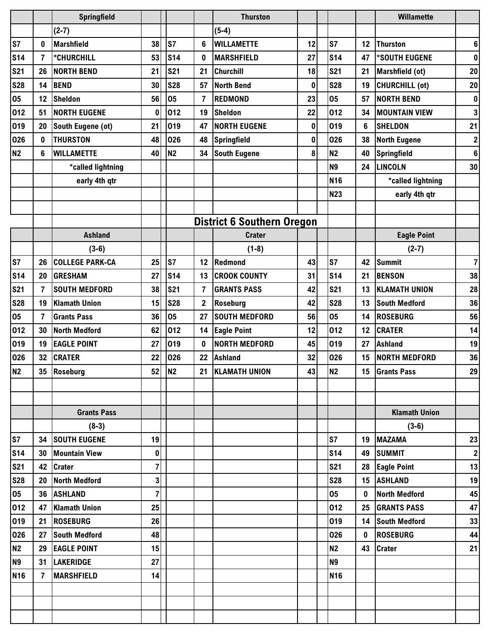|                 |                | <b>Springfield</b>     |                |                |                  | <b>Thurston</b>                   |           |                 |              | <b>Willamette</b>     |                  |
|-----------------|----------------|------------------------|----------------|----------------|------------------|-----------------------------------|-----------|-----------------|--------------|-----------------------|------------------|
|                 |                | $(2-7)$                |                |                |                  | $(5-4)$                           |           |                 |              |                       |                  |
| S7              | 0              | <b>Marshfield</b>      | 38             | S7             | 6                | <b>WILLAMETTE</b>                 | 12        | <b>S7</b>       | 12           | <b>Thurston</b>       | 6                |
| S <sub>14</sub> | $\overline{7}$ | *CHURCHILL             | 53             | <b>S14</b>     | $\bf{0}$         | <b>MARSHFIELD</b>                 | 27        | S <sub>14</sub> | 47           | *SOUTH EUGENE         | $\pmb{0}$        |
| <b>S21</b>      | 26             | <b>NORTH BEND</b>      | 21             | <b>S21</b>     | 21               | <b>Churchill</b>                  | 18        | <b>S21</b>      | 21           | Marshfield (ot)       | 20               |
| <b>S28</b>      | 14             | <b>BEND</b>            | 30             | <b>S28</b>     | 57               | <b>North Bend</b>                 | 0         | <b>S28</b>      | 19           | <b>CHURCHILL (ot)</b> | 20               |
| 05              | 12             | <b>Sheldon</b>         | 56             | 05             | $\overline{7}$   | <b>REDMOND</b>                    | 23        | 05              | 57           | NORTH BEND            | $\pmb{0}$        |
| 012             | 51             | <b>NORTH EUGENE</b>    | $\bf{0}$       | 012            | 19               | <b>Sheldon</b>                    | 22        | 012             | 34           | <b>MOUNTAIN VIEW</b>  | 3                |
| 019             | 20             | South Eugene (ot)      | 21             | 019            | 47               | <b>NORTH EUGENE</b>               | $\pmb{0}$ | 019             | 6            | <b>SHELDON</b>        | 21               |
| 026             | 0              | <b>THURSTON</b>        | 48             | 026            | 48               | Springfield                       | 0         | 026             | 38           | <b>North Eugene</b>   | $\boldsymbol{2}$ |
| <b>N2</b>       | 6              | <b>WILLAMETTE</b>      | 40             | N <sub>2</sub> | 34               | <b>South Eugene</b>               | 8         | <b>N2</b>       | 40           | Springfield           | $\bf 6$          |
|                 |                | *called lightning      |                |                |                  |                                   |           | <b>N9</b>       | 24           | <b>LINCOLN</b>        | 30               |
|                 |                | early 4th qtr          |                |                |                  |                                   |           | <b>N16</b>      |              | *called lightning     |                  |
|                 |                |                        |                |                |                  |                                   |           | <b>N23</b>      |              | early 4th qtr         |                  |
|                 |                |                        |                |                |                  |                                   |           |                 |              |                       |                  |
|                 |                |                        |                |                |                  | <b>District 6 Southern Oregon</b> |           |                 |              |                       |                  |
|                 |                | <b>Ashland</b>         |                |                |                  | <b>Crater</b>                     |           |                 |              | <b>Eagle Point</b>    |                  |
|                 |                | $(3-6)$                |                |                |                  | $(1-8)$                           |           |                 |              | $(2-7)$               |                  |
| S7              | 26             | <b>COLLEGE PARK-CA</b> | 25             | S7             | 12               | Redmond                           | 43        | <b>S7</b>       | 42           | <b>Summit</b>         | $\overline{7}$   |
| <b>S14</b>      | 20             | <b>GRESHAM</b>         | 27             | <b>S14</b>     | 13               | <b>CROOK COUNTY</b>               | 31        | <b>S14</b>      | 21           | <b>BENSON</b>         | 38               |
| <b>S21</b>      | $\overline{7}$ | <b>SOUTH MEDFORD</b>   | 38             | <b>S21</b>     | $\overline{7}$   | <b>GRANTS PASS</b>                | 42        | <b>S21</b>      | 13           | <b>KLAMATH UNION</b>  | 28               |
| <b>S28</b>      | 19             | <b>Klamath Union</b>   | 15             | <b>S28</b>     | $\boldsymbol{2}$ | Roseburg                          | 42        | <b>S28</b>      | 13           | <b>South Medford</b>  | 36               |
| 05              | 7              | <b>Grants Pass</b>     | 36             | 05             | 27               | <b>SOUTH MEDFORD</b>              | 56        | 05              | 14           | <b>ROSEBURG</b>       | 56               |
| 012             | 30             | <b>North Medford</b>   | 62             | 012            | 14               | <b>Eagle Point</b>                | 12        | 012             | 12           | <b>CRATER</b>         | 14               |
| 019             | 19             | <b>EAGLE POINT</b>     | 27             | 019            | $\bf{0}$         | <b>NORTH MEDFORD</b>              | 45        | 019             | 27           | <b>Ashland</b>        | 19               |
| 026             | 32             | <b>CRATER</b>          | 22             | 026            | 22               | <b>Ashland</b>                    | 32        | 026             | 15           | <b>NORTH MEDFORD</b>  | 36               |
| N <sub>2</sub>  |                | 35 Roseburg            |                | 52 N2          | 21               | <b>KLAMATH UNION</b>              | 43        | <b>N2</b>       |              | 15 Grants Pass        | 29               |
|                 |                |                        |                |                |                  |                                   |           |                 |              |                       |                  |
|                 |                |                        |                |                |                  |                                   |           |                 |              |                       |                  |
|                 |                | <b>Grants Pass</b>     |                |                |                  |                                   |           |                 |              | <b>Klamath Union</b>  |                  |
|                 |                | $(8-3)$                |                |                |                  |                                   |           |                 |              | $(3-6)$               |                  |
| S7              |                | 34 SOUTH EUGENE        | 19             |                |                  |                                   |           | S7              |              | 19 MAZAMA             | 23               |
| <b>S14</b>      | 30             | <b>Mountain View</b>   | 0              |                |                  |                                   |           | <b>S14</b>      | 49           | <b>SUMMIT</b>         | $\mathbf{2}$     |
| <b>S21</b>      |                | 42 Crater              | 7              |                |                  |                                   |           | <b>S21</b>      |              | 28 Eagle Point        | 13               |
| <b>S28</b>      | 20             | <b>North Medford</b>   | 3              |                |                  |                                   |           | <b>S28</b>      |              | 15 ASHLAND            | 19               |
| 05              | 36             | <b>ASHLAND</b>         | $\overline{7}$ |                |                  |                                   |           | 05              | $\bf{0}$     | <b>North Medford</b>  | 45               |
| 012             | 47             | <b>Klamath Union</b>   | 25             |                |                  |                                   |           | 012             |              | 25 GRANTS PASS        | 47               |
| 019             | 21             | <b>ROSEBURG</b>        | 26             |                |                  |                                   |           | 019             |              | 14 South Medford      | 33               |
| 026             | 27             | <b>South Medford</b>   | 48             |                |                  |                                   |           | 026             | $\mathbf{0}$ | <b>ROSEBURG</b>       | 44               |
| <b>N2</b>       | 29             | <b>EAGLE POINT</b>     | 15             |                |                  |                                   |           | <b>N2</b>       |              | 43 Crater             | 21               |
| N <sub>9</sub>  | 31             | <b>LAKERIDGE</b>       | 27             |                |                  |                                   |           | N <sub>9</sub>  |              |                       |                  |
| <b>N16</b>      | $\overline{7}$ | <b>MARSHFIELD</b>      | 14             |                |                  |                                   |           | N <sub>16</sub> |              |                       |                  |
|                 |                |                        |                |                |                  |                                   |           |                 |              |                       |                  |
|                 |                |                        |                |                |                  |                                   |           |                 |              |                       |                  |
|                 |                |                        |                |                |                  |                                   |           |                 |              |                       |                  |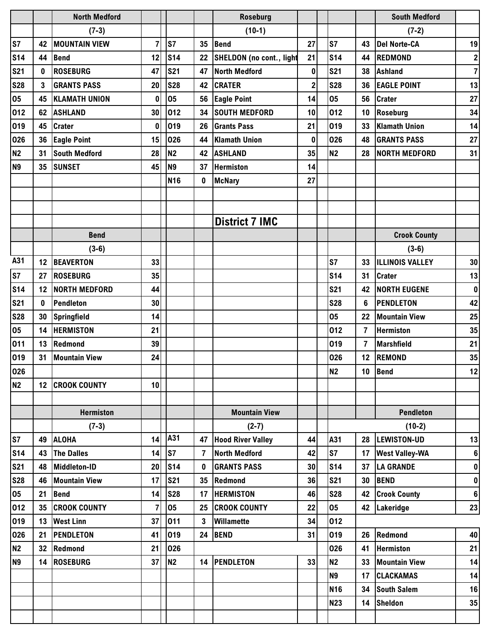|                |                 | <b>North Medford</b> |                |                 |                 | <b>Roseburg</b>                 |                |                 |                 | <b>South Medford</b>   |                  |
|----------------|-----------------|----------------------|----------------|-----------------|-----------------|---------------------------------|----------------|-----------------|-----------------|------------------------|------------------|
|                |                 | $(7-3)$              |                |                 |                 | $(10-1)$                        |                |                 |                 | $(7-2)$                |                  |
| S7             | 42              | <b>MOUNTAIN VIEW</b> | $\overline{7}$ | S7              | 35              | <b>Bend</b>                     | 27             | S7              | 43              | <b>Del Norte-CA</b>    | 19               |
| <b>S14</b>     | 44              | <b>Bend</b>          | 12             | <b>S14</b>      | 22              | <b>SHELDON</b> (no cont., light | 21             | S <sub>14</sub> | 44              | <b>REDMOND</b>         | $\boldsymbol{2}$ |
| <b>S21</b>     | 0               | <b>ROSEBURG</b>      | 47             | <b>S21</b>      | 47              | <b>North Medford</b>            | $\pmb{0}$      | <b>S21</b>      | 38              | <b>Ashland</b>         | $\overline{7}$   |
| <b>S28</b>     | 3               | <b>GRANTS PASS</b>   | 20             | <b>S28</b>      | 42              | <b>CRATER</b>                   | $\overline{2}$ | <b>S28</b>      | 36              | <b>EAGLE POINT</b>     | 13               |
| 05             | 45              | <b>KLAMATH UNION</b> | 0              | 05              | 56              | <b>Eagle Point</b>              | 14             | 05              | 56              | <b>Crater</b>          | 27               |
| 012            | 62              | <b>ASHLAND</b>       | 30             | 012             | 34              | <b>SOUTH MEDFORD</b>            | 10             | 012             | 10              | Roseburg               | 34               |
| 019            | 45              | <b>Crater</b>        | $\bf{0}$       | 019             | 26              | <b>Grants Pass</b>              | 21             | 019             | 33              | <b>Klamath Union</b>   | 14               |
| 026            | 36              | <b>Eagle Point</b>   | 15             | 026             | 44              | <b>Klamath Union</b>            | $\mathbf 0$    | 026             | 48              | <b>GRANTS PASS</b>     | 27               |
| <b>N2</b>      | 31              | <b>South Medford</b> | 28             | <b>N2</b>       | 42              | <b>ASHLAND</b>                  | 35             | <b>N2</b>       | 28              | NORTH MEDFORD          | 31               |
| N <sub>9</sub> | 35              | <b>SUNSET</b>        | 45             | N <sub>9</sub>  | 37              | <b>Hermiston</b>                | 14             |                 |                 |                        |                  |
|                |                 |                      |                | N <sub>16</sub> | $\mathbf{0}$    | <b>McNary</b>                   | 27             |                 |                 |                        |                  |
|                |                 |                      |                |                 |                 |                                 |                |                 |                 |                        |                  |
|                |                 |                      |                |                 |                 |                                 |                |                 |                 |                        |                  |
|                |                 |                      |                |                 |                 | <b>District 7 IMC</b>           |                |                 |                 |                        |                  |
|                |                 | <b>Bend</b>          |                |                 |                 |                                 |                |                 |                 | <b>Crook County</b>    |                  |
|                |                 | $(3-6)$              |                |                 |                 |                                 |                |                 |                 | $(3-6)$                |                  |
| A31            | 12              | <b>BEAVERTON</b>     | 33             |                 |                 |                                 |                | <b>S7</b>       | 33              | <b>ILLINOIS VALLEY</b> | 30               |
| S7             | 27              | <b>ROSEBURG</b>      | 35             |                 |                 |                                 |                | <b>S14</b>      | 31              | <b>Crater</b>          | 13               |
| <b>S14</b>     | 12              | <b>NORTH MEDFORD</b> | 44             |                 |                 |                                 |                | <b>S21</b>      | 42              | <b>NORTH EUGENE</b>    | $\pmb{0}$        |
| <b>S21</b>     | 0               | Pendleton            | 30             |                 |                 |                                 |                | <b>S28</b>      | 6               | <b>PENDLETON</b>       | 42               |
| <b>S28</b>     | 30              | Springfield          | 14             |                 |                 |                                 |                | 05              | 22              | <b>Mountain View</b>   | 25               |
| 05             | 14              | <b>HERMISTON</b>     | 21             |                 |                 |                                 |                | 012             | 7               | <b>Hermiston</b>       | 35               |
| 011            | 13              | Redmond              | 39             |                 |                 |                                 |                | 019             | $\overline{7}$  | <b>Marshfield</b>      | 21               |
| 019            | 31              | <b>Mountain View</b> | 24             |                 |                 |                                 |                | 026             | 12 <sup>°</sup> | <b>REMOND</b>          | 35               |
| 026            |                 |                      |                |                 |                 |                                 |                | <b>N2</b>       | 10              | <b>Bend</b>            | $12$             |
| N <sub>2</sub> | 12              | <b>CROOK COUNTY</b>  | 10             |                 |                 |                                 |                |                 |                 |                        |                  |
|                |                 |                      |                |                 |                 |                                 |                |                 |                 |                        |                  |
|                |                 | <b>Hermiston</b>     |                |                 |                 | <b>Mountain View</b>            |                |                 |                 | <b>Pendleton</b>       |                  |
|                |                 | $(7-3)$              |                |                 |                 | $(2-7)$                         |                |                 |                 | $(10-2)$               |                  |
| S7             | 49              | <b>ALOHA</b>         | 14             | A31             |                 | 47 Hood River Valley            | 44             | A31             | 28              | LEWISTON-UD            | 13               |
| <b>S14</b>     | 43              | <b>The Dalles</b>    | 14             | ls7             | $\overline{7}$  | <b>North Medford</b>            | 42             | S7              | 17              | <b>West Valley-WA</b>  | $\bf 6$          |
| <b>S21</b>     | 48              | Middleton-ID         | 20             | S <sub>14</sub> | $\mathbf 0$     | <b>GRANTS PASS</b>              | 30             | <b>S14</b>      | 37              | <b>LA GRANDE</b>       | $\pmb{0}$        |
| <b>S28</b>     | 46              | <b>Mountain View</b> | 17             | <b>S21</b>      | 35 <sub>5</sub> | Redmond                         | 36             | <b>S21</b>      | 30              | <b>BEND</b>            | $\pmb{0}$        |
| 05             | 21              | <b>Bend</b>          | 14             | <b>S28</b>      | 17              | <b>HERMISTON</b>                | 46             | <b>S28</b>      | 42              | <b>Crook County</b>    | $\bf 6$          |
| 012            | 35              | <b>CROOK COUNTY</b>  | $\overline{7}$ | 05              |                 | 25 CROOK COUNTY                 | 22             | 05              |                 | 42 Lakeridge           | 23               |
| 019            | 13              | <b>West Linn</b>     | 37             | 011             | $\mathbf{3}$    | Willamette                      | 34             | 012             |                 |                        |                  |
| 026            | 21              | <b>PENDLETON</b>     | 41             | 019             | 24              | <b>BEND</b>                     | 31             | 019             | 26              | Redmond                | 40               |
| N <sub>2</sub> | 32 <sub>2</sub> | Redmond              | 21             | 026             |                 |                                 |                | 026             | 41              | <b>Hermiston</b>       | 21               |
| N <sub>9</sub> | 14              | <b>ROSEBURG</b>      | 37             | N <sub>2</sub>  | 14              | <b>PENDLETON</b>                | 33             | <b>N2</b>       | 33              | <b>Mountain View</b>   | 14               |
|                |                 |                      |                |                 |                 |                                 |                | <b>N9</b>       | 17              | <b>CLACKAMAS</b>       | 14               |
|                |                 |                      |                |                 |                 |                                 |                | <b>N16</b>      | 34              | <b>South Salem</b>     | 16               |
|                |                 |                      |                |                 |                 |                                 |                | <b>N23</b>      |                 | 14 Sheldon             | 35               |
|                |                 |                      |                |                 |                 |                                 |                |                 |                 |                        |                  |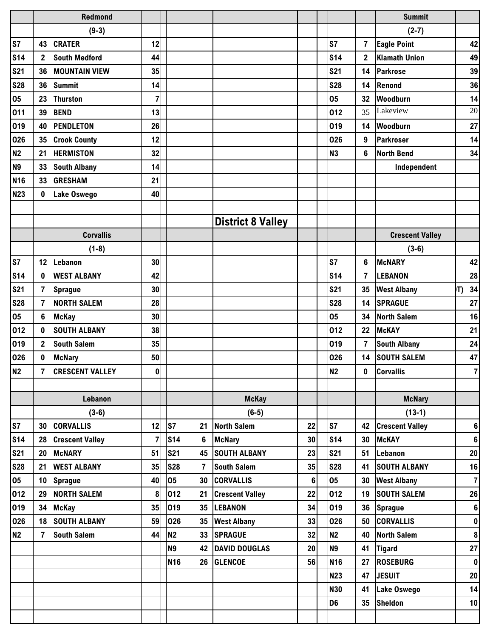|                |                | <b>Redmond</b>         |              |                 |                |                          |         |                |                | <b>Summit</b>          |    |                         |
|----------------|----------------|------------------------|--------------|-----------------|----------------|--------------------------|---------|----------------|----------------|------------------------|----|-------------------------|
|                |                | $(9-3)$                |              |                 |                |                          |         |                |                | $(2-7)$                |    |                         |
| S7             | 43             | <b>CRATER</b>          | 12           |                 |                |                          |         | <b>S7</b>      | $\overline{7}$ | <b>Eagle Point</b>     |    | 42                      |
| <b>S14</b>     | $\overline{2}$ | <b>South Medford</b>   | 44           |                 |                |                          |         | <b>S14</b>     | $\mathbf{2}$   | <b>Klamath Union</b>   |    | 49                      |
| <b>S21</b>     | 36             | <b>MOUNTAIN VIEW</b>   | 35           |                 |                |                          |         | <b>S21</b>     | 14             | <b>Parkrose</b>        |    | 39                      |
| <b>S28</b>     | 36             | <b>Summit</b>          | 14           |                 |                |                          |         | <b>S28</b>     | 14             | Renond                 |    | 36                      |
| 05             | 23             | <b>Thurston</b>        | 7            |                 |                |                          |         | 05             | 32             | Woodburn               |    | 14                      |
| 011            | 39             | <b>BEND</b>            | 13           |                 |                |                          |         | 012            | 35             | Lakeview               |    | 20                      |
| 019            | 40             | <b>PENDLETON</b>       | 26           |                 |                |                          |         | 019            | 14             | Woodburn               |    | 27                      |
| 026            | 35             | <b>Crook County</b>    | 12           |                 |                |                          |         | 026            | 9              | Parkroser              |    | 14                      |
| N <sub>2</sub> | 21             | <b>HERMISTON</b>       | 32           |                 |                |                          |         | <b>N3</b>      | 6              | <b>North Bend</b>      |    | 34                      |
| N <sub>9</sub> | 33             | <b>South Albany</b>    | 14           |                 |                |                          |         |                |                | Independent            |    |                         |
| <b>N16</b>     | 33             | <b>GRESHAM</b>         | 21           |                 |                |                          |         |                |                |                        |    |                         |
| <b>N23</b>     | $\mathbf 0$    | Lake Oswego            | 40           |                 |                |                          |         |                |                |                        |    |                         |
|                |                |                        |              |                 |                |                          |         |                |                |                        |    |                         |
|                |                |                        |              |                 |                | <b>District 8 Valley</b> |         |                |                |                        |    |                         |
|                |                | <b>Corvallis</b>       |              |                 |                |                          |         |                |                | <b>Crescent Valley</b> |    |                         |
|                |                | $(1-8)$                |              |                 |                |                          |         |                |                | $(3-6)$                |    |                         |
| S7             | 12             | Lebanon                | 30           |                 |                |                          |         | S <sub>7</sub> | 6              | <b>McNARY</b>          |    | 42                      |
| <b>S14</b>     | $\mathbf 0$    | <b>WEST ALBANY</b>     | 42           |                 |                |                          |         | <b>S14</b>     | $\overline{7}$ | <b>LEBANON</b>         |    | 28                      |
| <b>S21</b>     | $\overline{7}$ | <b>Sprague</b>         | 30           |                 |                |                          |         | <b>S21</b>     | 35             | <b>West Albany</b>     | T) | 34                      |
| <b>S28</b>     | $\overline{7}$ | <b>NORTH SALEM</b>     | 28           |                 |                |                          |         | <b>S28</b>     | 14             | <b>SPRAGUE</b>         |    | 27                      |
| 05             | 6              | <b>McKay</b>           | 30           |                 |                |                          |         | 05             | 34             | <b>North Salem</b>     |    | 16                      |
| 012            | $\mathbf 0$    | <b>SOUTH ALBANY</b>    | 38           |                 |                |                          |         | 012            | 22             | <b>McKAY</b>           |    | 21                      |
| 019            | $\overline{2}$ | <b>South Salem</b>     | 35           |                 |                |                          |         | 019            | 7              | <b>South Albany</b>    |    | 24                      |
| 026            | $\mathbf 0$    | <b>McNary</b>          | 50           |                 |                |                          |         | 026            | 14             | <b>SOUTH SALEM</b>     |    | 47                      |
| N <sub>2</sub> | 7              | <b>CRESCENT VALLEY</b> | $\mathbf{0}$ |                 |                |                          |         | <b>N2</b>      | 0              | <b>Corvallis</b>       |    | $\overline{\mathbf{r}}$ |
|                |                |                        |              |                 |                |                          |         |                |                |                        |    |                         |
|                |                | Lebanon                |              |                 |                | <b>McKay</b>             |         |                |                | <b>McNary</b>          |    |                         |
|                |                | $(3-6)$                |              |                 |                | $(6-5)$                  |         |                |                | $(13-1)$               |    |                         |
| S7             | 30             | <b>CORVALLIS</b>       | 12           | ls7             | 21             | <b>North Salem</b>       | 22      | S7             | 42             | <b>Crescent Valley</b> |    | $\bf 6$                 |
| <b>S14</b>     | 28             | <b>Crescent Valley</b> | 7            | S <sub>14</sub> | 6              | <b>McNary</b>            | 30      | <b>S14</b>     | 30             | <b>McKAY</b>           |    | $\bf 6$                 |
| <b>S21</b>     | 20             | <b>McNARY</b>          | 51           | <b>S21</b>      | 45             | <b>SOUTH ALBANY</b>      | 23      | <b>S21</b>     | 51             | Lebanon                |    | 20                      |
| <b>S28</b>     | 21             | <b>WEST ALBANY</b>     | 35           | <b>S28</b>      | $\overline{7}$ | <b>South Salem</b>       | 35      | <b>S28</b>     | 41             | <b>SOUTH ALBANY</b>    |    | 16                      |
| 05             | 10             | <b>Sprague</b>         | 40           | 05              | 30             | <b>CORVALLIS</b>         | $\bf 6$ | 05             | 30             | <b>West Albany</b>     |    | $\overline{7}$          |
| 012            | 29             | <b>NORTH SALEM</b>     | 8            | 012             | 21             | <b>Crescent Valley</b>   | 22      | 012            | 19             | <b>SOUTH SALEM</b>     |    | 26                      |
| 019            | 34             | <b>McKay</b>           | 35           | 019             | 35             | <b>LEBANON</b>           | 34      | 019            | 36             | <b>Sprague</b>         |    | $\boldsymbol{6}$        |
| 026            | 18             | <b>SOUTH ALBANY</b>    | 59           | 026             | 35             | <b>West Albany</b>       | 33      | 026            | 50             | <b>CORVALLIS</b>       |    | $\pmb{0}$               |
| <b>N2</b>      | $\overline{7}$ | <b>South Salem</b>     | 44           | N <sub>2</sub>  | 33             | <b>SPRAGUE</b>           | 32      | N <sub>2</sub> | 40             | <b>North Salem</b>     |    | 8                       |
|                |                |                        |              | <b>N9</b>       | 42             | <b>DAVID DOUGLAS</b>     | 20      | N <sub>9</sub> | 41             | <b>Tigard</b>          |    | 27                      |
|                |                |                        |              | <b>N16</b>      | 26             | <b>GLENCOE</b>           | 56      | <b>N16</b>     | 27             | <b>ROSEBURG</b>        |    | $\pmb{0}$               |
|                |                |                        |              |                 |                |                          |         | <b>N23</b>     | 47             | <b>JESUIT</b>          |    | 20                      |
|                |                |                        |              |                 |                |                          |         | <b>N30</b>     | 41             | Lake Oswego            |    | 14                      |
|                |                |                        |              |                 |                |                          |         | D <sub>6</sub> | 35             | <b>Sheldon</b>         |    | 10                      |
|                |                |                        |              |                 |                |                          |         |                |                |                        |    |                         |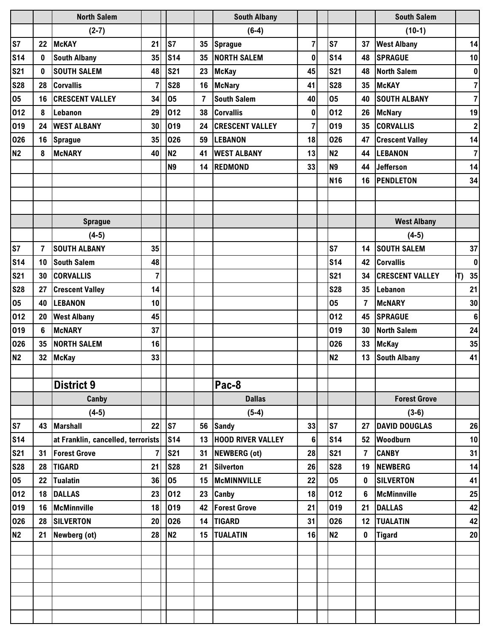|                |                | <b>North Salem</b>                 |                |                |                | <b>South Albany</b>      |                |                 |                | <b>South Salem</b>     |                  |
|----------------|----------------|------------------------------------|----------------|----------------|----------------|--------------------------|----------------|-----------------|----------------|------------------------|------------------|
|                |                | $(2-7)$                            |                |                |                | $(6-4)$                  |                |                 |                | $(10-1)$               |                  |
| S7             | 22             | <b>McKAY</b>                       | 21             | S7             | 35             | <b>Sprague</b>           | $\overline{7}$ | <b>S7</b>       | 37             | <b>West Albany</b>     | 14               |
| <b>S14</b>     | 0              | <b>South Albany</b>                | 35             | <b>S14</b>     | 35             | <b>NORTH SALEM</b>       | $\bf{0}$       | S <sub>14</sub> | 48             | <b>SPRAGUE</b>         | 10               |
| <b>S21</b>     | 0              | <b>SOUTH SALEM</b>                 | 48             | <b>S21</b>     | 23             | <b>McKay</b>             | 45             | <b>S21</b>      | 48             | <b>North Salem</b>     | $\pmb{0}$        |
| <b>S28</b>     | 28             | <b>Corvallis</b>                   | 7              | <b>S28</b>     | 16             | <b>McNary</b>            | 41             | <b>S28</b>      | 35             | <b>McKAY</b>           | $\overline{7}$   |
| 05             | 16             | <b>CRESCENT VALLEY</b>             | 34             | 05             | $\overline{7}$ | <b>South Salem</b>       | 40             | 05              | 40             | <b>SOUTH ALBANY</b>    | $\overline{7}$   |
| 012            | 8              | Lebanon                            | 29             | 012            | 38             | <b>Corvallis</b>         | $\mathbf 0$    | 012             | 26             | <b>McNary</b>          | 19               |
| 019            | 24             | <b>WEST ALBANY</b>                 | 30             | 019            | 24             | <b>CRESCENT VALLEY</b>   | $\overline{7}$ | 019             | 35             | <b>CORVALLIS</b>       | $\boldsymbol{2}$ |
| 026            | 16             | <b>Sprague</b>                     | 35             | 026            | 59             | <b>LEBANON</b>           | 18             | 026             | 47             | <b>Crescent Valley</b> | 14               |
| N <sub>2</sub> | 8              | <b>McNARY</b>                      | 40             | N <sub>2</sub> | 41             | <b>WEST ALBANY</b>       | 13             | <b>N2</b>       | 44             | <b>LEBANON</b>         | $\overline{7}$   |
|                |                |                                    |                | N <sub>9</sub> | 14             | <b>REDMOND</b>           | 33             | <b>N9</b>       | 44             | <b>Jefferson</b>       | 14               |
|                |                |                                    |                |                |                |                          |                | <b>N16</b>      | 16             | <b>PENDLETON</b>       | 34               |
|                |                |                                    |                |                |                |                          |                |                 |                |                        |                  |
|                |                |                                    |                |                |                |                          |                |                 |                |                        |                  |
|                |                | <b>Sprague</b>                     |                |                |                |                          |                |                 |                | <b>West Albany</b>     |                  |
|                |                | $(4-5)$                            |                |                |                |                          |                |                 |                | $(4-5)$                |                  |
| S7             | $\overline{7}$ | <b>SOUTH ALBANY</b>                | 35             |                |                |                          |                | <b>S7</b>       | 14             | <b>SOUTH SALEM</b>     | 37               |
| <b>S14</b>     | 10             | <b>South Salem</b>                 | 48             |                |                |                          |                | <b>S14</b>      | 42             | <b>Corvallis</b>       | $\pmb{0}$        |
| <b>S21</b>     | 30             | <b>CORVALLIS</b>                   | $\overline{7}$ |                |                |                          |                | <b>S21</b>      | 34             | <b>CRESCENT VALLEY</b> | 35<br>T)         |
| <b>S28</b>     | 27             | <b>Crescent Valley</b>             | 14             |                |                |                          |                | <b>S28</b>      | 35             | Lebanon                | 21               |
| 05             | 40             | <b>LEBANON</b>                     | 10             |                |                |                          |                | 05              | $\overline{7}$ | <b>McNARY</b>          | 30               |
| 012            | 20             | <b>West Albany</b>                 | 45             |                |                |                          |                | 012             | 45             | <b>SPRAGUE</b>         | $\bf 6$          |
| 019            | 6              | <b>McNARY</b>                      | 37             |                |                |                          |                | 019             | 30             | <b>North Salem</b>     | 24               |
| 026            | 35             | <b>NORTH SALEM</b>                 | 16             |                |                |                          |                | 026             | 33             | <b>McKay</b>           | 35               |
| N2             | 32             | <b>McKay</b>                       | 33             |                |                |                          |                | N <sub>2</sub>  | 13             | <b>South Albany</b>    | 41               |
|                |                |                                    |                |                |                |                          |                |                 |                |                        |                  |
|                |                | <b>District 9</b>                  |                |                |                | Pac-8                    |                |                 |                |                        |                  |
|                |                | Canby                              |                |                |                | <b>Dallas</b>            |                |                 |                | <b>Forest Grove</b>    |                  |
|                |                | $(4-5)$                            |                |                |                | $(5-4)$                  |                |                 |                | $(3-6)$                |                  |
| S7             | 43             | <b>Marshall</b>                    | 22             | S7             | 56             | <b>Sandy</b>             | 33             | S7              | 27             | <b>DAVID DOUGLAS</b>   | 26               |
| <b>S14</b>     |                | at Franklin, cancelled, terrorists |                | <b>S14</b>     | 13             | <b>HOOD RIVER VALLEY</b> | $6\phantom{1}$ | <b>S14</b>      | 52             | Woodburn               | 10               |
| <b>S21</b>     | 31             | <b>Forest Grove</b>                | 7              | <b>S21</b>     | 31             | NEWBERG (ot)             | 28             | <b>S21</b>      | 7              | <b>CANBY</b>           | 31               |
| <b>S28</b>     | 28             | <b>TIGARD</b>                      | 21             | <b>S28</b>     | 21             | <b>Silverton</b>         | 26             | <b>S28</b>      | 19             | <b>NEWBERG</b>         | 14               |
| 05             | 22             | <b>Tualatin</b>                    | 36             | 05             | 15             | McMINNVILLE              | 22             | 05              | 0              | <b>SILVERTON</b>       | 41               |
| 012            | 18             | <b>DALLAS</b>                      | 23             | 012            | 23             | Canby                    | 18             | 012             | 6              | <b>McMinnville</b>     | 25               |
| 019            | 16             | <b>McMinnville</b>                 | 18             | 019            | 42             | <b>Forest Grove</b>      | 21             | 019             | 21             | <b>DALLAS</b>          | 42               |
| 026            | 28             | <b>SILVERTON</b>                   | 20             | 026            | 14             | <b>TIGARD</b>            | 31             | 026             | 12             | <b>TUALATIN</b>        | 42               |
| N <sub>2</sub> | 21             | Newberg (ot)                       | 28             | N <sub>2</sub> | 15             | <b>TUALATIN</b>          | 16             | N <sub>2</sub>  | $\mathbf 0$    | <b>Tigard</b>          | 20               |
|                |                |                                    |                |                |                |                          |                |                 |                |                        |                  |
|                |                |                                    |                |                |                |                          |                |                 |                |                        |                  |
|                |                |                                    |                |                |                |                          |                |                 |                |                        |                  |
|                |                |                                    |                |                |                |                          |                |                 |                |                        |                  |
|                |                |                                    |                |                |                |                          |                |                 |                |                        |                  |
|                |                |                                    |                |                |                |                          |                |                 |                |                        |                  |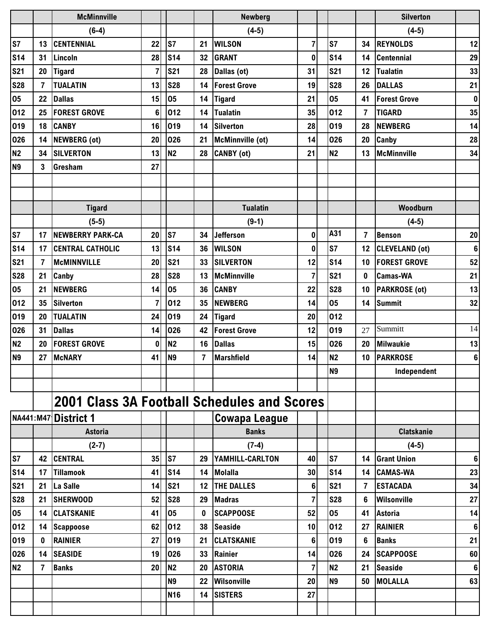|                |                | <b>McMinnville</b>                                 |                |                 |          | <b>Newberg</b>          |                |                |                | <b>Silverton</b>      |           |
|----------------|----------------|----------------------------------------------------|----------------|-----------------|----------|-------------------------|----------------|----------------|----------------|-----------------------|-----------|
|                |                | $(6-4)$                                            |                |                 |          | $(4-5)$                 |                |                |                | $(4-5)$               |           |
| S7             | 13             | <b>CENTENNIAL</b>                                  | 22             | S7              | 21       | <b>WILSON</b>           | $\overline{7}$ | <b>S7</b>      | 34             | <b>REYNOLDS</b>       | 12        |
| <b>S14</b>     | 31             | Lincoln                                            | 28             | S <sub>14</sub> | 32       | <b>GRANT</b>            | $\mathbf 0$    | <b>S14</b>     | 14             | <b>Centennial</b>     | 29        |
| <b>S21</b>     | 20             | <b>Tigard</b>                                      | $\overline{7}$ | <b>S21</b>      | 28       | Dallas (ot)             | 31             | <b>S21</b>     | 12             | <b>Tualatin</b>       | 33        |
| <b>S28</b>     | $\overline{7}$ | <b>TUALATIN</b>                                    | 13             | <b>S28</b>      | 14       | <b>Forest Grove</b>     | 19             | <b>S28</b>     | 26             | <b>DALLAS</b>         | 21        |
| 05             | 22             | <b>Dallas</b>                                      | 15             | 05              | 14       | <b>Tigard</b>           | 21             | 05             | 41             | <b>Forest Grove</b>   | $\pmb{0}$ |
| 012            | 25             | <b>FOREST GROVE</b>                                | 6              | 012             | 14       | <b>Tualatin</b>         | 35             | 012            | 7              | <b>TIGARD</b>         | 35        |
| 019            | 18             | <b>CANBY</b>                                       | 16             | 019             | 14       | <b>Silverton</b>        | 28             | 019            | 28             | <b>NEWBERG</b>        | 14        |
| 026            | 14             | NEWBERG (ot)                                       | 20             | 026             | 21       | <b>McMinnville (ot)</b> | 14             | 026            | 20             | Canby                 | 28        |
| <b>N2</b>      | 34             | <b>SILVERTON</b>                                   | 13             | N <sub>2</sub>  | 28       | CANBY (ot)              | 21             | N <sub>2</sub> | 13             | <b>McMinnville</b>    | 34        |
| N <sub>9</sub> | 3              | Gresham                                            | 27             |                 |          |                         |                |                |                |                       |           |
|                |                |                                                    |                |                 |          |                         |                |                |                |                       |           |
|                |                |                                                    |                |                 |          |                         |                |                |                |                       |           |
|                |                | <b>Tigard</b>                                      |                |                 |          | <b>Tualatin</b>         |                |                |                | Woodburn              |           |
|                |                | $(5-5)$                                            |                |                 |          | $(9-1)$                 |                |                |                | $(4-5)$               |           |
| S7             | 17             | <b>NEWBERRY PARK-CA</b>                            | 20             | S7              | 34       | <b>Jefferson</b>        | $\bf{0}$       | A31            | $\overline{7}$ | <b>Benson</b>         | 20        |
| <b>S14</b>     | 17             | <b>CENTRAL CATHOLIC</b>                            | 13             | <b>S14</b>      | 36       | <b>WILSON</b>           | 0              | <b>S7</b>      | 12             | <b>CLEVELAND (ot)</b> | $\bf 6$   |
| <b>S21</b>     | $\overline{7}$ | <b>McMINNVILLE</b>                                 | 20             | <b>S21</b>      | 33       | <b>SILVERTON</b>        | 12             | <b>S14</b>     | 10             | <b>FOREST GROVE</b>   | 52        |
| <b>S28</b>     | 21             | Canby                                              | 28             | <b>S28</b>      | 13       | <b>McMinnville</b>      | $\overline{7}$ | <b>S21</b>     | $\bf{0}$       | <b>Camas-WA</b>       | 21        |
| 05             | 21             | <b>NEWBERG</b>                                     | 14             | 05              | 36       | <b>CANBY</b>            | 22             | <b>S28</b>     | 10             | <b>PARKROSE</b> (ot)  | 13        |
| 012            | 35             | <b>Silverton</b>                                   | $\overline{7}$ | 012             | 35       | <b>NEWBERG</b>          | 14             | 05             | 14             | <b>Summit</b>         | 32        |
| 019            | 20             | <b>TUALATIN</b>                                    | 24             | 019             | 24       | <b>Tigard</b>           | 20             | 012            |                |                       |           |
| 026            | 31             | <b>Dallas</b>                                      | 14             | 026             | 42       | <b>Forest Grove</b>     | 12             | 019            | 27             | Summitt               | 14        |
| N2             | 20             | <b>FOREST GROVE</b>                                | 0              | <b>N2</b>       | 16       | <b>Dallas</b>           | 15             | 026            | 20             | <b>Milwaukie</b>      | 13        |
| N <sub>9</sub> | 27             | <b>McNARY</b>                                      | 41             | N <sub>9</sub>  | 7        | <b>Marshfield</b>       | 14             | N <sub>2</sub> | 10             | <b>PARKROSE</b>       | $\bf 6$   |
|                |                |                                                    |                |                 |          |                         |                | N9             |                | Independent           |           |
|                |                |                                                    |                |                 |          |                         |                |                |                |                       |           |
|                |                | <b>2001 Class 3A Football Schedules and Scores</b> |                |                 |          |                         |                |                |                |                       |           |
| NA441:M47      |                | District 1                                         |                |                 |          | <b>Cowapa League</b>    |                |                |                |                       |           |
|                |                | <b>Astoria</b>                                     |                |                 |          | <b>Banks</b>            |                |                |                | <b>Clatskanie</b>     |           |
|                |                | $(2-7)$                                            |                |                 |          | $(7-4)$                 |                |                |                | $(4-5)$               |           |
| S7             | 42             | <b>CENTRAL</b>                                     | 35             | s7              | 29       | YAMHILL-CARLTON         | 40             | <b>S7</b>      | 14             | <b>Grant Union</b>    | 6         |
| <b>S14</b>     | 17             | <b>Tillamook</b>                                   | 41             | S <sub>14</sub> | 14       | <b>Molalla</b>          | 30             | <b>S14</b>     | 14             | <b>CAMAS-WA</b>       | 23        |
| <b>S21</b>     | 21             | La Salle                                           | 14             | <b>S21</b>      | 12       | <b>THE DALLES</b>       | 6              | <b>S21</b>     | $\overline{7}$ | <b>ESTACADA</b>       | 34        |
| <b>S28</b>     | 21             | <b>SHERWOOD</b>                                    | 52             | <b>S28</b>      | 29       | <b>Madras</b>           | 7              | <b>S28</b>     | 6              | Wilsonville           | 27        |
| 05             | 14             | <b>CLATSKANIE</b>                                  | 41             | 05              | $\bf{0}$ | <b>SCAPPOOSE</b>        | 52             | 05             | 41             | <b>Astoria</b>        | 14        |
| 012            | 14             | <b>Scappoose</b>                                   | 62             | 012             | 38       | <b>Seaside</b>          | 10             | 012            | 27             | <b>RAINIER</b>        | $\bf 6$   |
| 019            | 0              | <b>RAINIER</b>                                     | 27             | 019             | 21       | <b>CLATSKANIE</b>       | 6              | 019            | 6              | <b>Banks</b>          | 21        |
| 026            | 14             | <b>SEASIDE</b>                                     | 19             | 026             | 33       | Rainier                 | 14             | 026            | 24             | <b>SCAPPOOSE</b>      | 60        |
| N <sub>2</sub> | $\overline{7}$ | <b>Banks</b>                                       | 20             | N <sub>2</sub>  | 20       | <b>ASTORIA</b>          | $\overline{7}$ | N <sub>2</sub> | 21             | <b>Seaside</b>        | 6         |
|                |                |                                                    |                | N <sub>9</sub>  | 22       | Wilsonville             | 20             | <b>N9</b>      | 50             | <b>MOLALLA</b>        | 63        |
|                |                |                                                    |                | N <sub>16</sub> | 14       | <b>SISTERS</b>          | 27             |                |                |                       |           |
|                |                |                                                    |                |                 |          |                         |                |                |                |                       |           |
|                |                |                                                    |                |                 |          |                         |                |                |                |                       |           |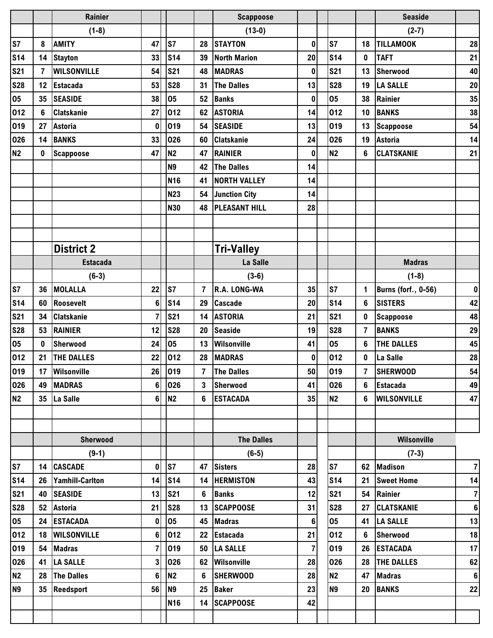|                 |                | <b>Rainier</b>     |                         |                      |                 | <b>Scappoose</b>     |                |                |                | <b>Seaside</b>             |                  |
|-----------------|----------------|--------------------|-------------------------|----------------------|-----------------|----------------------|----------------|----------------|----------------|----------------------------|------------------|
|                 |                | $(1-8)$            |                         |                      |                 | $(13-0)$             |                |                |                | $(2-7)$                    |                  |
| S7              | 8              | <b>AMITY</b>       | 47                      | S7                   | 28              | <b>STAYTON</b>       | $\pmb{0}$      | <b>S7</b>      | 18             | <b>TILLAMOOK</b>           | 28               |
| <b>S14</b>      | 14             | <b>Stayton</b>     | 33                      | <b>S14</b>           | 39              | <b>North Marion</b>  | 20             | <b>S14</b>     | $\bf{0}$       | <b>TAFT</b>                | 21               |
| <b>S21</b>      | $\overline{7}$ | <b>WILSONVILLE</b> | 54                      | <b>S21</b>           | 48              | <b>MADRAS</b>        | $\mathbf 0$    | <b>S21</b>     | 13             | Sherwood                   | 40               |
| <b>S28</b>      | 12             | <b>Estacada</b>    | 53                      | <b>S28</b>           | 31              | <b>The Dalles</b>    | 13             | <b>S28</b>     | 19             | <b>LA SALLE</b>            | 20               |
| 05              | 35             | <b>SEASIDE</b>     | 38                      | 05                   | 52              | <b>Banks</b>         | $\bf{0}$       | 05             | 38             | Rainier                    | 35               |
| 012             | 6              | <b>Clatskanie</b>  | 27                      | 012                  | 62              | <b>ASTORIA</b>       | 14             | 012            | 10             | <b>BANKS</b>               | 38               |
| 019             | 27             | <b>Astoria</b>     | $\bf{0}$                | 019                  | 54              | <b>SEASIDE</b>       | 13             | 019            | 13             | <b>Scappoose</b>           | 54               |
| 026             | 14             | <b>BANKS</b>       | 33                      | 026                  | 60              | <b>Clatskanie</b>    | 24             | 026            | 19             | <b>Astoria</b>             | 14               |
| N <sub>2</sub>  | 0              | <b>Scappoose</b>   | 47                      | <b>N2</b>            | 47              | <b>RAINIER</b>       | $\mathbf 0$    | <b>N2</b>      | 6              | <b>CLATSKANIE</b>          | 21               |
|                 |                |                    |                         | <b>N9</b>            | 42              | <b>The Dalles</b>    | 14             |                |                |                            |                  |
|                 |                |                    |                         | <b>N16</b>           | 41              | <b>NORTH VALLEY</b>  | 14             |                |                |                            |                  |
|                 |                |                    |                         | <b>N23</b>           | 54              | Junction City        | 14             |                |                |                            |                  |
|                 |                |                    |                         | <b>N30</b>           | 48              | <b>PLEASANT HILL</b> | 28             |                |                |                            |                  |
|                 |                |                    |                         |                      |                 |                      |                |                |                |                            |                  |
|                 |                |                    |                         |                      |                 |                      |                |                |                |                            |                  |
|                 |                | <b>District 2</b>  |                         |                      |                 | <b>Tri-Valley</b>    |                |                |                |                            |                  |
|                 |                | <b>Estacada</b>    |                         |                      |                 | La Salle             |                |                |                | <b>Madras</b>              |                  |
|                 |                | $(6-3)$            |                         |                      |                 | $(3-6)$              |                |                |                | $(1-8)$                    |                  |
| S7              | 36             | <b>MOLALLA</b>     | 22                      | S7                   | $\overline{7}$  | R.A. LONG-WA         | 35             | S <sub>7</sub> | 1              | <b>Burns (forf., 0-56)</b> | $\pmb{0}$        |
| <b>S14</b>      | 60             | <b>Roosevelt</b>   | 6                       | <b>S14</b>           | 29              | <b>Cascade</b>       | 20             | <b>S14</b>     | 6              | <b>SISTERS</b>             | 42               |
| <b>S21</b>      | 34             | <b>Clatskanie</b>  | 7                       | <b>S21</b>           | 14              | <b>ASTORIA</b>       | 21             | <b>S21</b>     | $\mathbf 0$    | <b>Scappoose</b>           | 48               |
| <b>S28</b>      | 53             | <b>RAINIER</b>     | 12                      | <b>S28</b>           | 20              | <b>Seaside</b>       | 19             | <b>S28</b>     | $\overline{7}$ | <b>BANKS</b>               | 29               |
| 05              | $\bf{0}$       | Sherwood           | 24                      | 05                   | 13              | Wilsonville          | 41             | 05             | 6              | <b>THE DALLES</b>          | 45               |
| 012             | 21             | <b>THE DALLES</b>  | 22                      | 012                  | 28              | <b>MADRAS</b>        | $\mathbf 0$    | 012            | $\bf{0}$       | La Salle                   | 28               |
| 019             |                | 17 Wilsonville     | 26                      | 019                  | $\overline{7}$  | The Dalles           | 50             | 019            | 7              | <b>SHERWOOD</b>            | 54               |
| 026             | 49             | <b>MADRAS</b>      | 6 <sup>1</sup>          | 026                  | 3 <sup>1</sup>  | Sherwood             | 41             | 026            | 6              | <b>Estacada</b>            | 49               |
| <b>N2</b>       |                | 35 La Salle        | 6                       | N <sub>2</sub>       | $6\overline{6}$ | <b>ESTACADA</b>      | 35             | <b>N2</b>      | 6              | <b>WILSONVILLE</b>         | 47               |
|                 |                |                    |                         |                      |                 |                      |                |                |                |                            |                  |
|                 |                |                    |                         |                      |                 |                      |                |                |                |                            |                  |
|                 |                | Sherwood           |                         |                      |                 | <b>The Dalles</b>    |                |                |                | Wilsonville                |                  |
|                 |                | $(9-1)$            |                         |                      |                 | $(6-5)$              |                |                |                | $(7-3)$                    |                  |
| S7              |                | 14   CASCADE       | 0                       | $\sqrt{57}$          |                 | 47 Sisters           | 28             | S7             |                | 62 Madison                 | $\overline{7}$   |
| S <sub>14</sub> |                | 26 Yamhill-Carlton | 14                      | $\sqrt{\text{S}}$ 14 |                 | 14 HERMISTON         | 43             | <b>S14</b>     | 21             | <b>Sweet Home</b>          | 14               |
| <b>S21</b>      | 40             | <b>SEASIDE</b>     | 13                      | <b>S21</b>           | 6               | <b>Banks</b>         | 12             | <b>S21</b>     |                | 54 Rainier                 | $\overline{7}$   |
| <b>S28</b>      | 52             | <b>Astoria</b>     | 21                      | <b>S28</b>           |                 | 13 SCAPPOOSE         | 31             | <b>S28</b>     | 27             | <b>CLATSKANIE</b>          | $\boldsymbol{6}$ |
| 05              |                | 24 ESTACADA        | $\mathbf 0$             | 05                   |                 | 45 Madras            | $6\phantom{a}$ | 05             |                | 41   LA SALLE              | 13               |
| 012             |                | 18 WILSONVILLE     | 6                       | 012                  |                 | 22 Estacada          | 21             | 012            | 6              | Sherwood                   | 18               |
| 019             |                | 54 Madras          | $\overline{\mathbf{r}}$ | 019                  |                 | 50  LA SALLE         | $\overline{7}$ | 019            |                | 26 ESTACADA                | 17               |
| 026             | 41             | <b>LA SALLE</b>    | 3                       | 026                  |                 | 62 Wilsonville       | 28             | 026            |                | 28   THE DALLES            | 62               |
| N2              |                | 28 The Dalles      | 6                       | N <sub>2</sub>       |                 | 6 SHERWOOD           | 28             | N <sub>2</sub> | 47             | <b>Madras</b>              | $6\phantom{1}$   |
| N <sub>9</sub>  |                | 35 Reedsport       | 56                      | N <sub>9</sub>       |                 | 25 Baker             | 23             | <b>N9</b>      | 20             | <b>BANKS</b>               | 22               |
|                 |                |                    |                         | <b>N16</b>           |                 | 14 SCAPPOOSE         | 42             |                |                |                            |                  |
|                 |                |                    |                         |                      |                 |                      |                |                |                |                            |                  |
|                 |                |                    |                         |                      |                 |                      |                |                |                |                            |                  |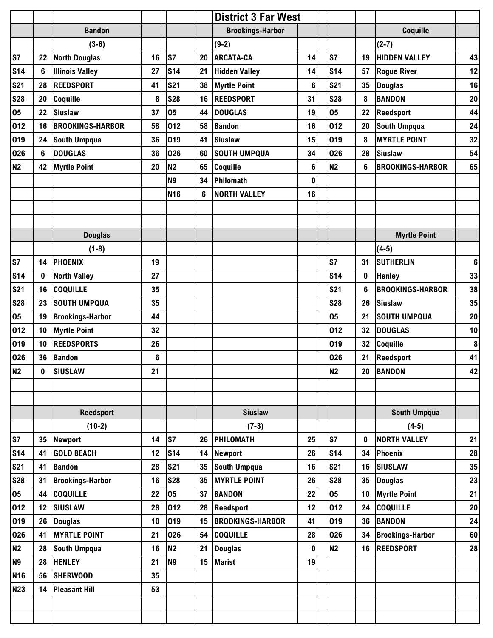|                 |    |                         |    |                |                 | <b>District 3 Far West</b> |    |                |    |                         |                 |
|-----------------|----|-------------------------|----|----------------|-----------------|----------------------------|----|----------------|----|-------------------------|-----------------|
|                 |    | <b>Bandon</b>           |    |                |                 | <b>Brookings-Harbor</b>    |    |                |    | Coquille                |                 |
|                 |    | $(3-6)$                 |    |                |                 | $(9-2)$                    |    |                |    | $(2-7)$                 |                 |
| S7              | 22 | <b>North Douglas</b>    | 16 | ls7            | 20              | <b>ARCATA-CA</b>           | 14 | <b>S7</b>      | 19 | <b>HIDDEN VALLEY</b>    | 43              |
| <b>S14</b>      | 6  | <b>Illinois Valley</b>  | 27 | <b>S14</b>     | 21              | <b>Hidden Valley</b>       | 14 | <b>S14</b>     | 57 | <b>Rogue River</b>      | 12              |
| <b>S21</b>      | 28 | <b>REEDSPORT</b>        | 41 | <b>S21</b>     | 38              | <b>Myrtle Point</b>        | 6  | <b>S21</b>     | 35 | <b>Douglas</b>          | 16              |
| <b>S28</b>      | 20 | Coquille                | 8  | <b>S28</b>     | 16              | <b>REEDSPORT</b>           | 31 | <b>S28</b>     | 8  | <b>BANDON</b>           | 20              |
| 05              | 22 | <b>Siuslaw</b>          | 37 | 05             | 44              | <b>DOUGLAS</b>             | 19 | 05             | 22 | <b>Reedsport</b>        | 44              |
| 012             | 16 | <b>BROOKINGS-HARBOR</b> | 58 | 012            | 58              | <b>Bandon</b>              | 16 | 012            | 20 | South Umpqua            | 24              |
| 019             | 24 | <b>South Umpqua</b>     | 36 | 019            | 41              | <b>Siuslaw</b>             | 15 | 019            | 8  | <b>MYRTLE POINT</b>     | 32              |
| 026             | 6  | <b>DOUGLAS</b>          | 36 | 026            | 60              | <b>SOUTH UMPQUA</b>        | 34 | 026            | 28 | <b>Siuslaw</b>          | 54              |
| <b>N2</b>       | 42 | <b>Myrtle Point</b>     | 20 | N <sub>2</sub> | 65              | Coquille                   | 6  | N <sub>2</sub> | 6  | <b>BROOKINGS-HARBOR</b> | 65              |
|                 |    |                         |    | N <sub>9</sub> | 34              | Philomath                  | 0  |                |    |                         |                 |
|                 |    |                         |    | <b>N16</b>     | 6               | <b>NORTH VALLEY</b>        | 16 |                |    |                         |                 |
|                 |    |                         |    |                |                 |                            |    |                |    |                         |                 |
|                 |    |                         |    |                |                 |                            |    |                |    |                         |                 |
|                 |    | <b>Douglas</b>          |    |                |                 |                            |    |                |    | <b>Myrtle Point</b>     |                 |
|                 |    | $(1-8)$                 |    |                |                 |                            |    |                |    | $(4-5)$                 |                 |
| S7              | 14 | <b>PHOENIX</b>          | 19 |                |                 |                            |    | S7             | 31 | <b>SUTHERLIN</b>        | $6\phantom{1}6$ |
| <b>S14</b>      | 0  | <b>North Valley</b>     | 27 |                |                 |                            |    | <b>S14</b>     | 0  | <b>Henley</b>           | 33              |
| <b>S21</b>      | 16 | <b>COQUILLE</b>         | 35 |                |                 |                            |    | <b>S21</b>     | 6  | <b>BROOKINGS-HARBOR</b> | 38              |
| <b>S28</b>      | 23 | <b>SOUTH UMPQUA</b>     | 35 |                |                 |                            |    | <b>S28</b>     | 26 | <b>Siuslaw</b>          | 35              |
| 05              | 19 | <b>Brookings-Harbor</b> | 44 |                |                 |                            |    | 05             | 21 | <b>SOUTH UMPQUA</b>     | 20              |
| 012             | 10 | <b>Myrtle Point</b>     | 32 |                |                 |                            |    | 012            | 32 | <b>DOUGLAS</b>          | 10              |
| 019             | 10 | <b>REEDSPORTS</b>       | 26 |                |                 |                            |    | 019            | 32 | Coquille                | 8               |
| 026             | 36 | <b>Bandon</b>           | 6  |                |                 |                            |    | 026            | 21 | Reedsport               | 41              |
| <b>N2</b>       | 0  | <b>SIUSLAW</b>          | 21 |                |                 |                            |    | N2             | 20 | <b>BANDON</b>           | 42              |
|                 |    |                         |    |                |                 |                            |    |                |    |                         |                 |
|                 |    |                         |    |                |                 |                            |    |                |    |                         |                 |
|                 |    | <b>Reedsport</b>        |    |                |                 | <b>Siuslaw</b>             |    |                |    | <b>South Umpqua</b>     |                 |
|                 |    | $(10-2)$                |    |                |                 | $(7-3)$                    |    |                |    | $(4-5)$                 |                 |
| S7              | 35 | <b>Newport</b>          | 14 | S7             | 26              | PHILOMATH                  | 25 | <b>S7</b>      | 0  | <b>NORTH VALLEY</b>     | 21              |
| <b>S14</b>      | 41 | <b>GOLD BEACH</b>       | 12 | <b>S14</b>     | 14              | <b>Newport</b>             | 26 | <b>S14</b>     | 34 | Phoenix                 | 28              |
| <b>S21</b>      | 41 | <b>Bandon</b>           | 28 | <b>S21</b>     | 35 <sub>5</sub> | South Umpqua               | 16 | <b>S21</b>     | 16 | <b>SIUSLAW</b>          | 35              |
| <b>S28</b>      | 31 | <b>Brookings-Harbor</b> | 16 | <b>S28</b>     | 35              | <b>MYRTLE POINT</b>        | 26 | <b>S28</b>     | 35 | <b>Douglas</b>          | 23              |
| 05              | 44 | <b>COQUILLE</b>         | 22 | 05             | 37              | <b>BANDON</b>              | 22 | 05             | 10 | <b>Myrtle Point</b>     | 21              |
| 012             | 12 | <b>SIUSLAW</b>          | 28 | 012            | 28              | <b>Reedsport</b>           | 12 | 012            | 24 | <b>COQUILLE</b>         | 20              |
| 019             | 26 | <b>Douglas</b>          | 10 | 019            | 15              | <b>BROOKINGS-HARBOR</b>    | 41 | 019            | 36 | <b>BANDON</b>           | 24              |
| 026             | 41 | <b>MYRTLE POINT</b>     | 21 | 026            | 54              | <b>COQUILLE</b>            | 28 | 026            | 34 | <b>Brookings-Harbor</b> | 60              |
| N <sub>2</sub>  | 28 | <b>South Umpqua</b>     | 16 | N <sub>2</sub> | 21              | <b>Douglas</b>             | 0  | <b>N2</b>      | 16 | <b>REEDSPORT</b>        | 28              |
| <b>N9</b>       | 28 | <b>HENLEY</b>           | 21 | N <sub>9</sub> | 15              | <b>Marist</b>              | 19 |                |    |                         |                 |
| N <sub>16</sub> | 56 | <b>SHERWOOD</b>         | 35 |                |                 |                            |    |                |    |                         |                 |
| <b>N23</b>      | 14 | <b>Pleasant Hill</b>    | 53 |                |                 |                            |    |                |    |                         |                 |
|                 |    |                         |    |                |                 |                            |    |                |    |                         |                 |
|                 |    |                         |    |                |                 |                            |    |                |    |                         |                 |
|                 |    |                         |    |                |                 |                            |    |                |    |                         |                 |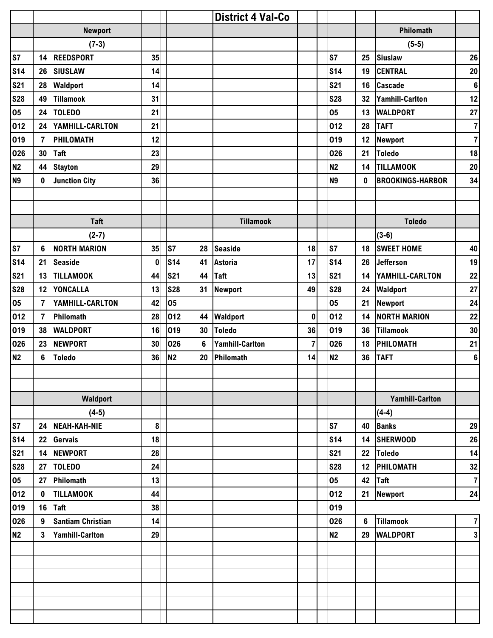|                |                |                          |          |            |                | <b>District 4 Val-Co</b> |                |                |    |                         |                |
|----------------|----------------|--------------------------|----------|------------|----------------|--------------------------|----------------|----------------|----|-------------------------|----------------|
|                |                | <b>Newport</b>           |          |            |                |                          |                |                |    | Philomath               |                |
|                |                | $(7-3)$                  |          |            |                |                          |                |                |    | $(5-5)$                 |                |
| S7             | 14             | <b>REEDSPORT</b>         | 35       |            |                |                          |                | <b>S7</b>      | 25 | <b>Siuslaw</b>          | 26             |
| <b>S14</b>     | 26             | <b>SIUSLAW</b>           | 14       |            |                |                          |                | <b>S14</b>     | 19 | <b>CENTRAL</b>          | 20             |
| <b>S21</b>     | 28             | <b>Waldport</b>          | 14       |            |                |                          |                | <b>S21</b>     | 16 | <b>Cascade</b>          | $\bf 6$        |
| <b>S28</b>     | 49             | <b>Tillamook</b>         | 31       |            |                |                          |                | <b>S28</b>     | 32 | <b>Yamhill-Carlton</b>  | 12             |
| 05             | 24             | <b>TOLEDO</b>            | 21       |            |                |                          |                | 05             | 13 | <b>WALDPORT</b>         | 27             |
| 012            | 24             | YAMHILL-CARLTON          | 21       |            |                |                          |                | 012            | 28 | <b>TAFT</b>             | $\overline{7}$ |
| 019            | $\overline{7}$ | <b>PHILOMATH</b>         | 12       |            |                |                          |                | 019            | 12 | Newport                 | $\overline{7}$ |
| 026            | 30             | <b>Taft</b>              | 23       |            |                |                          |                | 026            | 21 | <b>Toledo</b>           | 18             |
| <b>N2</b>      | 44             | <b>Stayton</b>           | 29       |            |                |                          |                | <b>N2</b>      | 14 | <b>TILLAMOOK</b>        | $20\,$         |
| N <sub>9</sub> | 0              | <b>Junction City</b>     | 36       |            |                |                          |                | <b>N9</b>      | 0  | <b>BROOKINGS-HARBOR</b> | 34             |
|                |                |                          |          |            |                |                          |                |                |    |                         |                |
|                |                |                          |          |            |                |                          |                |                |    |                         |                |
|                |                | <b>Taft</b>              |          |            |                | <b>Tillamook</b>         |                |                |    | <b>Toledo</b>           |                |
|                |                | $(2-7)$                  |          |            |                |                          |                |                |    | $(3-6)$                 |                |
| S7             | 6              | <b>NORTH MARION</b>      | 35       | S7         | 28             | <b>Seaside</b>           | 18             | s <sub>7</sub> | 18 | <b>SWEET HOME</b>       | 40             |
| <b>S14</b>     | 21             | <b>Seaside</b>           | $\bf{0}$ | <b>S14</b> | 41             | <b>Astoria</b>           | 17             | <b>S14</b>     | 26 | <b>Jefferson</b>        | 19             |
| <b>S21</b>     | 13             | <b>TILLAMOOK</b>         | 44       | <b>S21</b> | 44             | Taft                     | 13             | <b>S21</b>     | 14 | YAMHILL-CARLTON         | 22             |
| <b>S28</b>     | 12             | <b>YONCALLA</b>          | 13       | <b>S28</b> | 31             | Newport                  | 49             | <b>S28</b>     | 24 | <b>Waldport</b>         | 27             |
| 05             | 7              | YAMHILL-CARLTON          | 42       | 05         |                |                          |                | 05             | 21 | <b>Newport</b>          | 24             |
| 012            | $\overline{7}$ | Philomath                | 28       | 012        | 44             | <b>Waldport</b>          | $\mathbf 0$    | 012            | 14 | <b>NORTH MARION</b>     | 22             |
| 019            | 38             | <b>WALDPORT</b>          | 16       | 019        | 30             | <b>Toledo</b>            | 36             | 019            | 36 | <b>Tillamook</b>        | 30             |
| 026            | 23             | <b>NEWPORT</b>           | 30       | 026        | $6\phantom{a}$ | <b>Yamhill-Carlton</b>   | $\overline{7}$ | 026            | 18 | PHILOMATH               | 21             |
| <b>N2</b>      | 6              | <b>Toledo</b>            | 36       | <b>N2</b>  | 20             | Philomath                | 14             | <b>N2</b>      | 36 | <b>TAFT</b>             | $\bf 6$        |
|                |                |                          |          |            |                |                          |                |                |    |                         |                |
|                |                |                          |          |            |                |                          |                |                |    |                         |                |
|                |                | Waldport                 |          |            |                |                          |                |                |    | <b>Yamhill-Carlton</b>  |                |
|                |                | $(4-5)$                  |          |            |                |                          |                |                |    | $(4-4)$                 |                |
| S7             | 24             | <b>NEAH-KAH-NIE</b>      | 8        |            |                |                          |                | S7             | 40 | <b>Banks</b>            | 29             |
| <b>S14</b>     | 22             | <b>Gervais</b>           | 18       |            |                |                          |                | <b>S14</b>     | 14 | <b>SHERWOOD</b>         | 26             |
| <b>S21</b>     | 14             | <b>NEWPORT</b>           | 28       |            |                |                          |                | <b>S21</b>     | 22 | <b>Toledo</b>           | 14             |
| <b>S28</b>     | 27             | <b>TOLEDO</b>            | 24       |            |                |                          |                | <b>S28</b>     | 12 | PHILOMATH               | 32             |
| 05             | 27             | Philomath                | 13       |            |                |                          |                | 05             | 42 | <b>Taft</b>             | $\overline{7}$ |
| 012            | 0              | <b>TILLAMOOK</b>         | 44       |            |                |                          |                | 012            | 21 | <b>Newport</b>          | 24             |
| 019            | 16             | <b>Taft</b>              | 38       |            |                |                          |                | 019            |    |                         |                |
| 026            | 9              | <b>Santiam Christian</b> | 14       |            |                |                          |                | 026            | 6  | <b>Tillamook</b>        | $\overline{7}$ |
| <b>N2</b>      | 3              | <b>Yamhill-Carlton</b>   | 29       |            |                |                          |                | <b>N2</b>      | 29 | <b>WALDPORT</b>         | $\mathbf 3$    |
|                |                |                          |          |            |                |                          |                |                |    |                         |                |
|                |                |                          |          |            |                |                          |                |                |    |                         |                |
|                |                |                          |          |            |                |                          |                |                |    |                         |                |
|                |                |                          |          |            |                |                          |                |                |    |                         |                |
|                |                |                          |          |            |                |                          |                |                |    |                         |                |
|                |                |                          |          |            |                |                          |                |                |    |                         |                |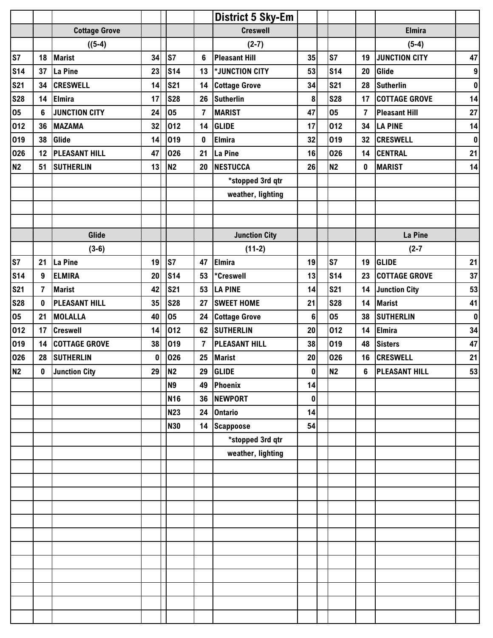|            |                |                      |          |                |                | <b>District 5 Sky-Em</b> |                |                |                |                      |                  |
|------------|----------------|----------------------|----------|----------------|----------------|--------------------------|----------------|----------------|----------------|----------------------|------------------|
|            |                | <b>Cottage Grove</b> |          |                |                | <b>Creswell</b>          |                |                |                | <b>Elmira</b>        |                  |
|            |                | $((5-4)$             |          |                |                | $(2-7)$                  |                |                |                | $(5-4)$              |                  |
| S7         | 18             | <b>Marist</b>        | 34       | S7             | 6              | <b>Pleasant Hill</b>     | 35             | S <sub>7</sub> | 19             | <b>JUNCTION CITY</b> | 47               |
| <b>S14</b> | 37             | La Pine              | 23       | <b>S14</b>     | 13             | *JUNCTION CITY           | 53             | <b>S14</b>     | 20             | Glide                | $\boldsymbol{9}$ |
| <b>S21</b> | 34             | <b>CRESWELL</b>      | 14       | <b>S21</b>     | 14             | <b>Cottage Grove</b>     | 34             | <b>S21</b>     | 28             | Sutherlin            | $\pmb{0}$        |
| <b>S28</b> | 14             | <b>Elmira</b>        | 17       | <b>S28</b>     | 26             | <b>Sutherlin</b>         | 8              | <b>S28</b>     | 17             | <b>COTTAGE GROVE</b> | 14               |
| 05         | 6              | <b>JUNCTION CITY</b> | 24       | 05             | $\overline{7}$ | <b>MARIST</b>            | 47             | 05             | $\overline{7}$ | <b>Pleasant Hill</b> | 27               |
| 012        | 36             | <b>MAZAMA</b>        | 32       | 012            | 14             | <b>GLIDE</b>             | 17             | 012            | 34             | <b>LA PINE</b>       | 14               |
| 019        | 38             | Glide                | 14       | 019            | $\pmb{0}$      | Elmira                   | 32             | 019            | 32             | <b>CRESWELL</b>      | $\pmb{0}$        |
| 026        | 12             | <b>PLEASANT HILL</b> | 47       | 026            | 21             | La Pine                  | 16             | 026            | 14             | <b>CENTRAL</b>       | 21               |
| <b>N2</b>  | 51             | <b>SUTHERLIN</b>     | 13       | N <sub>2</sub> | 20             | <b>NESTUCCA</b>          | 26             | N <sub>2</sub> | 0              | <b>MARIST</b>        | 14               |
|            |                |                      |          |                |                | *stopped 3rd qtr         |                |                |                |                      |                  |
|            |                |                      |          |                |                | weather, lighting        |                |                |                |                      |                  |
|            |                |                      |          |                |                |                          |                |                |                |                      |                  |
|            |                |                      |          |                |                |                          |                |                |                |                      |                  |
|            |                | Glide                |          |                |                | <b>Junction City</b>     |                |                |                | La Pine              |                  |
|            |                | $(3-6)$              |          |                |                | $(11-2)$                 |                |                |                | $(2 - 7)$            |                  |
| S7         | 21             | La Pine              | 19       | S7             | 47             | Elmira                   | 19             | <b>S7</b>      | 19             | <b>GLIDE</b>         | 21               |
| <b>S14</b> | 9              | <b>ELMIRA</b>        | 20       | <b>S14</b>     | 53             | *Creswell                | 13             | <b>S14</b>     | 23             | <b>COTTAGE GROVE</b> | 37               |
| <b>S21</b> | $\overline{7}$ | <b>Marist</b>        | 42       | <b>S21</b>     | 53             | <b>LA PINE</b>           | 14             | <b>S21</b>     | 14             | <b>Junction City</b> | 53               |
| <b>S28</b> | $\mathbf{0}$   | <b>PLEASANT HILL</b> | 35       | <b>S28</b>     | 27             | <b>SWEET HOME</b>        | 21             | <b>S28</b>     | 14             | <b>Marist</b>        | 41               |
| 05         | 21             | <b>MOLALLA</b>       | 40       | 05             | 24             | <b>Cottage Grove</b>     | $6\phantom{1}$ | 05             | 38             | <b>SUTHERLIN</b>     | $\pmb{0}$        |
| 012        | 17             | <b>Creswell</b>      | 14       | 012            | 62             | <b>SUTHERLIN</b>         | 20             | 012            | 14             | <b>Elmira</b>        | 34               |
| 019        | 14             | <b>COTTAGE GROVE</b> | 38       | 019            | $\overline{7}$ | <b>PLEASANT HILL</b>     | 38             | 019            | 48             | <b>Sisters</b>       | 47               |
| 026        | 28             | <b>SUTHERLIN</b>     | $\bf{0}$ | 026            | 25             | <b>Marist</b>            | 20             | 026            | 16             | <b>CRESWELL</b>      | 21               |
| <b>N2</b>  | $\mathbf 0$    | Junction City        | 29       | N2             | 29             | <b>GLIDE</b>             | $\pmb{0}$      | N <sub>2</sub> | 6 <sup>1</sup> | <b>PLEASANT HILL</b> | 53               |
|            |                |                      |          | <b>N9</b>      | 49             | <b>Phoenix</b>           | 14             |                |                |                      |                  |
|            |                |                      |          | <b>N16</b>     |                | 36 NEWPORT               | $\mathbf 0$    |                |                |                      |                  |
|            |                |                      |          | <b>N23</b>     |                | 24 Ontario               | 14             |                |                |                      |                  |
|            |                |                      |          | <b>N30</b>     | 14             | <b>Scappoose</b>         | 54             |                |                |                      |                  |
|            |                |                      |          |                |                | *stopped 3rd qtr         |                |                |                |                      |                  |
|            |                |                      |          |                |                | weather, lighting        |                |                |                |                      |                  |
|            |                |                      |          |                |                |                          |                |                |                |                      |                  |
|            |                |                      |          |                |                |                          |                |                |                |                      |                  |
|            |                |                      |          |                |                |                          |                |                |                |                      |                  |
|            |                |                      |          |                |                |                          |                |                |                |                      |                  |
|            |                |                      |          |                |                |                          |                |                |                |                      |                  |
|            |                |                      |          |                |                |                          |                |                |                |                      |                  |
|            |                |                      |          |                |                |                          |                |                |                |                      |                  |
|            |                |                      |          |                |                |                          |                |                |                |                      |                  |
|            |                |                      |          |                |                |                          |                |                |                |                      |                  |
|            |                |                      |          |                |                |                          |                |                |                |                      |                  |
|            |                |                      |          |                |                |                          |                |                |                |                      |                  |
|            |                |                      |          |                |                |                          |                |                |                |                      |                  |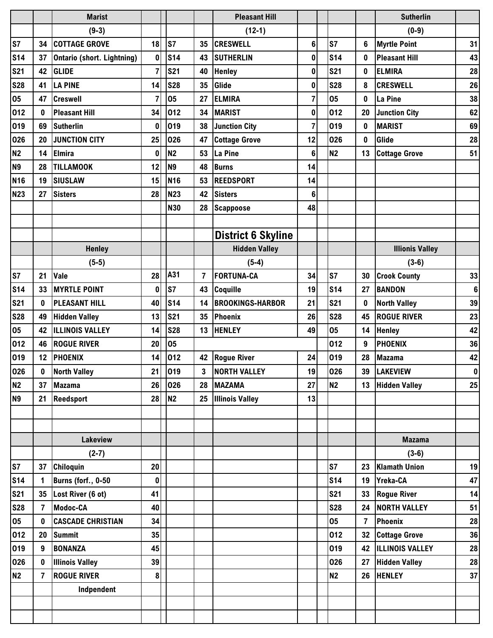|                 |                | <b>Marist</b>                     |                |                 |                | <b>Pleasant Hill</b>      |                |                |                | <b>Sutherlin</b>       |                 |
|-----------------|----------------|-----------------------------------|----------------|-----------------|----------------|---------------------------|----------------|----------------|----------------|------------------------|-----------------|
|                 |                | $(9-3)$                           |                |                 |                | $(12-1)$                  |                |                |                | $(0-9)$                |                 |
| S7              | 34             | <b>COTTAGE GROVE</b>              | 18             | <b>S7</b>       | 35             | <b>CRESWELL</b>           | 6              | <b>S7</b>      | 6              | <b>Myrtle Point</b>    | 31              |
| <b>S14</b>      | 37             | <b>Ontario (short. Lightning)</b> | $\mathbf 0$    | S <sub>14</sub> | 43             | <b>SUTHERLIN</b>          | 0              | <b>S14</b>     | 0              | <b>Pleasant Hill</b>   | 43              |
| <b>S21</b>      | 42             | <b>GLIDE</b>                      | $\overline{7}$ | <b>S21</b>      | 40             | <b>Henley</b>             | 0              | <b>S21</b>     | 0              | <b>ELMIRA</b>          | 28              |
| <b>S28</b>      | 41             | <b>LA PINE</b>                    | 14             | <b>S28</b>      | 35             | Glide                     | 0              | <b>S28</b>     | 8              | <b>CRESWELL</b>        | 26              |
| 05              | 47             | <b>Creswell</b>                   | 7              | 05              | 27             | <b>ELMIRA</b>             | 7              | 05             | 0              | La Pine                | 38              |
| 012             | $\bf{0}$       | <b>Pleasant Hill</b>              | 34             | 012             | 34             | <b>MARIST</b>             | 0              | 012            | 20             | <b>Junction City</b>   | 62              |
| 019             | 69             | <b>Sutherlin</b>                  | 0              | 019             | 38             | <b>Junction City</b>      | $\overline{7}$ | 019            | 0              | <b>MARIST</b>          | 69              |
| 026             | 20             | <b>JUNCTION CITY</b>              | 25             | 026             | 47             | <b>Cottage Grove</b>      | 12             | 026            | $\mathbf{0}$   | Glide                  | 28              |
| <b>N2</b>       | 14             | <b>Elmira</b>                     | 0              | N <sub>2</sub>  | 53             | La Pine                   | 6              | N <sub>2</sub> | 13             | <b>Cottage Grove</b>   | 51              |
| N <sub>9</sub>  | 28             | <b>TILLAMOOK</b>                  | 12             | N <sub>9</sub>  | 48             | <b>Burns</b>              | 14             |                |                |                        |                 |
| <b>N16</b>      | 19             | <b>SIUSLAW</b>                    | 15             | N <sub>16</sub> | 53             | <b>REEDSPORT</b>          | 14             |                |                |                        |                 |
| <b>N23</b>      | 27             | <b>Sisters</b>                    | 28             | <b>N23</b>      | 42             | <b>Sisters</b>            | 6              |                |                |                        |                 |
|                 |                |                                   |                | <b>N30</b>      | 28             | Scappoose                 | 48             |                |                |                        |                 |
|                 |                |                                   |                |                 |                |                           |                |                |                |                        |                 |
|                 |                |                                   |                |                 |                | <b>District 6 Skyline</b> |                |                |                |                        |                 |
|                 |                | <b>Henley</b>                     |                |                 |                | <b>Hidden Valley</b>      |                |                |                | <b>Illionis Valley</b> |                 |
|                 |                | $(5-5)$                           |                |                 |                | $(5-4)$                   |                |                |                | $(3-6)$                |                 |
| S7              | 21             | Vale                              | 28             | A31             | $\overline{7}$ | <b>FORTUNA-CA</b>         | 34             | S7             | 30             | <b>Crook County</b>    | 33              |
| <b>S14</b>      | 33             | <b>MYRTLE POINT</b>               | $\mathbf 0$    | S7              | 43             | Coquille                  | 19             | <b>S14</b>     | 27             | <b>BANDON</b>          | $6\phantom{1}6$ |
| <b>S21</b>      | 0              | <b>PLEASANT HILL</b>              | 40             | S <sub>14</sub> | 14             | <b>BROOKINGS-HARBOR</b>   | 21             | <b>S21</b>     | 0              | <b>North Valley</b>    | 39              |
| <b>S28</b>      | 49             | <b>Hidden Valley</b>              | 13             | <b>S21</b>      | 35             | Phoenix                   | 26             | <b>S28</b>     | 45             | <b>ROGUE RIVER</b>     | 23              |
| 05              | 42             | <b>ILLINOIS VALLEY</b>            | 14             | <b>S28</b>      | 13             | <b>HENLEY</b>             | 49             | 05             | 14             | <b>Henley</b>          | 42              |
| 012             | 46             | <b>ROGUE RIVER</b>                | 20             | 05              |                |                           |                | 012            | 9              | <b>PHOENIX</b>         | 36              |
| 019             | 12             | <b>PHOENIX</b>                    | 14             | 012             | 42             | <b>Rogue River</b>        | 24             | 019            | 28             | <b>Mazama</b>          | 42              |
| 026             | $\mathbf 0$    | <b>North Valley</b>               | 21             | 019             | 3 <sup>1</sup> | <b>NORTH VALLEY</b>       | 19             | 026            | 39             | <b>LAKEVIEW</b>        | $\pmb{0}$       |
| N <sub>2</sub>  | 37             | <b>Mazama</b>                     | 26             | 026             |                | 28 MAZAMA                 | 27             | <b>N2</b>      |                | 13 Hidden Valley       | 25              |
| N <sub>9</sub>  | 21             | <b>Reedsport</b>                  | 28             | N <sub>2</sub>  |                | 25 Illinois Valley        | 13             |                |                |                        |                 |
|                 |                |                                   |                |                 |                |                           |                |                |                |                        |                 |
|                 |                |                                   |                |                 |                |                           |                |                |                |                        |                 |
|                 |                | Lakeview                          |                |                 |                |                           |                |                |                | <b>Mazama</b>          |                 |
|                 |                | $(2-7)$                           |                |                 |                |                           |                |                |                | $(3-6)$                |                 |
| S7              | 37             | Chiloquin                         | 20             |                 |                |                           |                | <b>S7</b>      |                | 23 Klamath Union       | 19              |
| S <sub>14</sub> | 1              | <b>Burns (forf., 0-50)</b>        | 0              |                 |                |                           |                | <b>S14</b>     | 19             | Yreka-CA               | 47              |
| <b>S21</b>      | 35             | Lost River (6 ot)                 | 41             |                 |                |                           |                | <b>S21</b>     |                | 33 Rogue River         | 14              |
| <b>S28</b>      | $\overline{7}$ | Modoc-CA                          | 40             |                 |                |                           |                | <b>S28</b>     |                | 24 NORTH VALLEY        | 51              |
| 05              | $\mathbf 0$    | <b>CASCADE CHRISTIAN</b>          | 34             |                 |                |                           |                | 05             | $\overline{7}$ | <b>Phoenix</b>         | 28              |
| 012             | 20             | <b>Summit</b>                     | 35             |                 |                |                           |                | 012            |                | 32 Cottage Grove       | 36              |
| 019             | 9              | <b>BONANZA</b>                    | 45             |                 |                |                           |                | 019            |                | 42  ILLINOIS VALLEY    | 28              |
| 026             | 0              | <b>Illinois Valley</b>            | 39             |                 |                |                           |                | 026            |                | 27 Hidden Valley       | 28              |
| N <sub>2</sub>  | $\overline{7}$ | <b>ROGUE RIVER</b>                | 8              |                 |                |                           |                | <b>N2</b>      |                | 26 HENLEY              | 37              |
|                 |                | Indpendent                        |                |                 |                |                           |                |                |                |                        |                 |
|                 |                |                                   |                |                 |                |                           |                |                |                |                        |                 |
|                 |                |                                   |                |                 |                |                           |                |                |                |                        |                 |
|                 |                |                                   |                |                 |                |                           |                |                |                |                        |                 |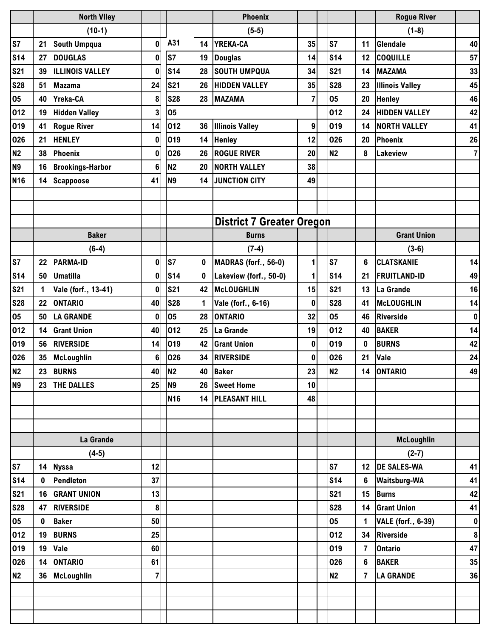|                |             | <b>North Viley</b>      |                         |                |          | <b>Phoenix</b>                   |                  |            |                | <b>Rogue River</b>        |                |
|----------------|-------------|-------------------------|-------------------------|----------------|----------|----------------------------------|------------------|------------|----------------|---------------------------|----------------|
|                |             | $(10-1)$                |                         |                |          | $(5-5)$                          |                  |            |                | $(1-8)$                   |                |
| S7             | 21          | <b>South Umpqua</b>     | $\mathbf{0}$            | A31            | 14       | YREKA-CA                         | 35               | <b>S7</b>  | 11             | Glendale                  | 40             |
| <b>S14</b>     | 27          | <b>DOUGLAS</b>          | $\mathbf{0}$            | S7             | 19       | <b>Douglas</b>                   | 14               | <b>S14</b> | 12             | <b>COQUILLE</b>           | 57             |
| <b>S21</b>     | 39          | <b>ILLINOIS VALLEY</b>  | $\bf{0}$                | <b>S14</b>     | 28       | <b>SOUTH UMPQUA</b>              | 34               | <b>S21</b> | 14             | <b>MAZAMA</b>             | 33             |
| <b>S28</b>     | 51          | <b>Mazama</b>           | 24                      | <b>S21</b>     | 26       | <b>HIDDEN VALLEY</b>             | 35               | <b>S28</b> | 23             | <b>Illinois Valley</b>    | 45             |
| 05             | 40          | Yreka-CA                | 8                       | <b>S28</b>     | 28       | <b>MAZAMA</b>                    | 7                | 05         | 20             | <b>Henley</b>             | 46             |
| 012            | 19          | <b>Hidden Valley</b>    | 3                       | 05             |          |                                  |                  | 012        | 24             | <b>HIDDEN VALLEY</b>      | 42             |
| 019            | 41          | <b>Rogue River</b>      | 14                      | 012            | 36       | <b>Illinois Valley</b>           | $\boldsymbol{9}$ | 019        | 14             | <b>NORTH VALLEY</b>       | 41             |
| 026            | 21          | <b>HENLEY</b>           | $\mathbf{0}$            | 019            | 14       | <b>Henley</b>                    | 12               | 026        | 20             | Phoenix                   | 26             |
| <b>N2</b>      | 38          | Phoenix                 | $\boldsymbol{0}$        | 026            | 26       | <b>ROGUE RIVER</b>               | 20               | <b>N2</b>  | 8              | <b>Lakeview</b>           | $\overline{7}$ |
| N <sub>9</sub> | 16          | <b>Brookings-Harbor</b> | $6\phantom{a}$          | <b>N2</b>      | 20       | <b>NORTH VALLEY</b>              | 38               |            |                |                           |                |
| <b>N16</b>     | 14          | <b>Scappoose</b>        | 41                      | N <sub>9</sub> | 14       | <b>JUNCTION CITY</b>             | 49               |            |                |                           |                |
|                |             |                         |                         |                |          |                                  |                  |            |                |                           |                |
|                |             |                         |                         |                |          |                                  |                  |            |                |                           |                |
|                |             |                         |                         |                |          | <b>District 7 Greater Oregon</b> |                  |            |                |                           |                |
|                |             | <b>Baker</b>            |                         |                |          | <b>Burns</b>                     |                  |            |                | <b>Grant Union</b>        |                |
|                |             | $(6-4)$                 |                         |                |          | $(7-4)$                          |                  |            |                | $(3-6)$                   |                |
| S7             | 22          | <b>PARMA-ID</b>         | $\bf{0}$                | S7             | $\bf{0}$ | MADRAS (forf., 56-0)             | 1                | S7         | 6              | <b>CLATSKANIE</b>         | 14             |
| <b>S14</b>     | 50          | <b>Umatilla</b>         | 0                       | <b>S14</b>     | 0        | Lakeview (forf., 50-0)           | $\mathbf{1}$     | <b>S14</b> | 21             | <b>FRUITLAND-ID</b>       | 49             |
| <b>S21</b>     | $\mathbf 1$ | Vale (forf., 13-41)     | $\mathbf{0}$            | <b>S21</b>     | 42       | McLOUGHLIN                       | 15               | <b>S21</b> | 13             | La Grande                 | 16             |
| <b>S28</b>     | 22          | <b>ONTARIO</b>          | 40                      | <b>S28</b>     | 1        | Vale (forf., 6-16)               | $\mathbf 0$      | <b>S28</b> | 41             | McLOUGHLIN                | 14             |
| 05             | 50          | <b>LA GRANDE</b>        | 0                       | 05             | 28       | <b>ONTARIO</b>                   | 32               | 05         | 46             | <b>Riverside</b>          | $\pmb{0}$      |
| 012            | 14          | <b>Grant Union</b>      | 40                      | 012            | 25       | La Grande                        | 19               | 012        | 40             | <b>BAKER</b>              | 14             |
| 019            | 56          | <b>RIVERSIDE</b>        | 14                      | 019            | 42       | <b>Grant Union</b>               | $\mathbf 0$      | 019        | $\bf{0}$       | <b>BURNS</b>              | 42             |
| 026            | 35          | <b>McLoughlin</b>       | $6\phantom{a}$          | 026            | 34       | <b>RIVERSIDE</b>                 | $\mathbf 0$      | 026        | 21             | Vale                      | 24             |
| N <sub>2</sub> |             | 23 BURNS                | 40                      | N <sub>2</sub> | 40       | <b>Baker</b>                     | 23               | <b>N2</b>  | 14             | <b>ONTARIO</b>            | 49             |
| N <sub>9</sub> | 23          | <b>THE DALLES</b>       | 25                      | N <sub>9</sub> |          | 26 Sweet Home                    | 10               |            |                |                           |                |
|                |             |                         |                         | <b>N16</b>     |          | 14   PLEASANT HILL               | 48               |            |                |                           |                |
|                |             |                         |                         |                |          |                                  |                  |            |                |                           |                |
|                |             |                         |                         |                |          |                                  |                  |            |                |                           |                |
|                |             | La Grande               |                         |                |          |                                  |                  |            |                | <b>McLoughlin</b>         |                |
|                |             | $(4-5)$                 |                         |                |          |                                  |                  |            |                | $(2-7)$                   |                |
| S7             | 14          | <b>Nyssa</b>            | 12                      |                |          |                                  |                  | <b>S7</b>  |                | 12 DE SALES-WA            | 41             |
| <b>S14</b>     | 0           | <b>Pendleton</b>        | 37                      |                |          |                                  |                  | <b>S14</b> | 6              | <b>Waitsburg-WA</b>       | 41             |
| <b>S21</b>     | 16          | <b>GRANT UNION</b>      | 13                      |                |          |                                  |                  | <b>S21</b> | 15             | <b>Burns</b>              | 42             |
| <b>S28</b>     | 47          | <b>RIVERSIDE</b>        | 8                       |                |          |                                  |                  | <b>S28</b> |                | 14 Grant Union            | 41             |
| 05             | 0           | <b>Baker</b>            | 50                      |                |          |                                  |                  | 05         | $\mathbf{1}$   | <b>VALE</b> (forf., 6-39) | $\pmb{0}$      |
| 012            | 19          | <b>BURNS</b>            | 25                      |                |          |                                  |                  | 012        |                | 34 Riverside              | $\pmb{8}$      |
| 019            | 19          | Vale                    | 60                      |                |          |                                  |                  | 019        | 7              | <b>Ontario</b>            | 47             |
| 026            | 14          | <b>ONTARIO</b>          | 61                      |                |          |                                  |                  | 026        | 6              | <b>BAKER</b>              | 35             |
| <b>N2</b>      | 36          | McLoughlin              | $\overline{\mathbf{r}}$ |                |          |                                  |                  | <b>N2</b>  | $\overline{7}$ | <b>LA GRANDE</b>          | 36             |
|                |             |                         |                         |                |          |                                  |                  |            |                |                           |                |
|                |             |                         |                         |                |          |                                  |                  |            |                |                           |                |
|                |             |                         |                         |                |          |                                  |                  |            |                |                           |                |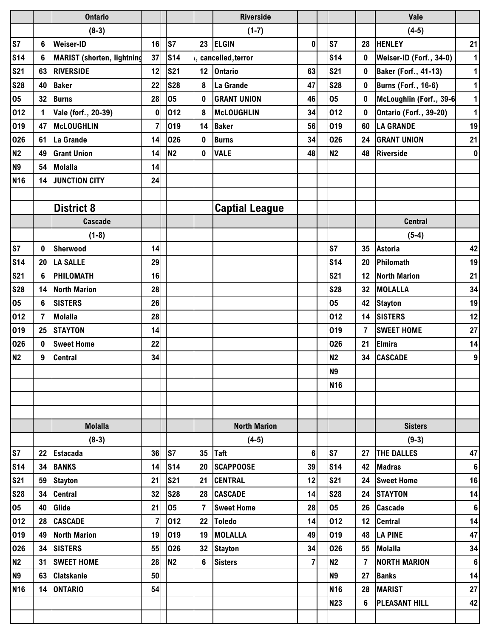|            |             | <b>Ontario</b>                    |                         |                 |                | <b>Riverside</b>      |                |                |                 | Vale                          |                  |
|------------|-------------|-----------------------------------|-------------------------|-----------------|----------------|-----------------------|----------------|----------------|-----------------|-------------------------------|------------------|
|            |             | $(8-3)$                           |                         |                 |                | $(1-7)$               |                |                |                 | $(4-5)$                       |                  |
| S7         | 6           | <b>Weiser-ID</b>                  | 16                      | S7              | 23             | <b>ELGIN</b>          | $\mathbf 0$    | S7             | 28              | <b>HENLEY</b>                 | 21               |
| <b>S14</b> | 6           | <b>MARIST</b> (shorten, lightning | 37                      | <b>S14</b>      |                | cancelled, terror     |                | <b>S14</b>     | $\bf{0}$        | Weiser-ID (Forf., 34-0)       | $\mathbf{1}$     |
| <b>S21</b> | 63          | <b>RIVERSIDE</b>                  | 12                      | <b>S21</b>      | 12             | <b>Ontario</b>        | 63             | <b>S21</b>     | 0               | <b>Baker (Forf., 41-13)</b>   | $\mathbf{1}$     |
| <b>S28</b> | 40          | <b>Baker</b>                      | 22                      | <b>S28</b>      | 8              | La Grande             | 47             | <b>S28</b>     | 0               | <b>Burns (Forf., 16-6)</b>    | $\mathbf{1}$     |
| 05         | 32          | <b>Burns</b>                      | 28                      | 05              | 0              | <b>GRANT UNION</b>    | 46             | 05             | 0               | McLoughlin (Forf., 39-6       | $\mathbf{1}$     |
| 012        | $\mathbf 1$ | Vale (forf., 20-39)               | 0                       | 012             | 8              | <b>McLOUGHLIN</b>     | 34             | 012            | $\bf{0}$        | <b>Ontario (Forf., 39-20)</b> | $\mathbf{1}$     |
| 019        | 47          | McLOUGHLIN                        | $\overline{7}$          | 019             | 14             | <b>Baker</b>          | 56             | 019            | 60              | <b>LA GRANDE</b>              | 19               |
| 026        | 61          | La Grande                         | 14                      | 026             | 0              | <b>Burns</b>          | 34             | 026            | 24              | <b>GRANT UNION</b>            | 21               |
| N2         | 49          | <b>Grant Union</b>                | 14                      | N <sub>2</sub>  | 0              | <b>VALE</b>           | 48             | N <sub>2</sub> | 48              | <b>Riverside</b>              | $\pmb{0}$        |
| <b>N9</b>  | 54          | <b>Molalla</b>                    | 14                      |                 |                |                       |                |                |                 |                               |                  |
| <b>N16</b> | 14          | JUNCTION CITY                     | 24                      |                 |                |                       |                |                |                 |                               |                  |
|            |             |                                   |                         |                 |                |                       |                |                |                 |                               |                  |
|            |             | <b>District 8</b>                 |                         |                 |                | <b>Captial League</b> |                |                |                 |                               |                  |
|            |             | Cascade                           |                         |                 |                |                       |                |                |                 | <b>Central</b>                |                  |
|            |             | $(1-8)$                           |                         |                 |                |                       |                |                |                 | $(5-4)$                       |                  |
| S7         | 0           | Sherwood                          | 14                      |                 |                |                       |                | S7             | 35              | <b>Astoria</b>                | 42               |
| <b>S14</b> | 20          | <b>LA SALLE</b>                   | 29                      |                 |                |                       |                | <b>S14</b>     | 20              | Philomath                     | 19               |
| <b>S21</b> | 6           | PHILOMATH                         | 16                      |                 |                |                       |                | <b>S21</b>     | 12              | <b>North Marion</b>           | 21               |
| <b>S28</b> | 14          | <b>North Marion</b>               | 28                      |                 |                |                       |                | <b>S28</b>     | 32              | <b>MOLALLA</b>                | 34               |
| 05         | 6           | <b>SISTERS</b>                    | 26                      |                 |                |                       |                | 05             | 42              | <b>Stayton</b>                | 19               |
| 012        | 7           | <b>Molalla</b>                    | 28                      |                 |                |                       |                | 012            | 14              | <b>SISTERS</b>                | 12               |
| 019        | 25          | <b>STAYTON</b>                    | 14                      |                 |                |                       |                | 019            | 7               | <b>SWEET HOME</b>             | 27               |
| 026        | 0           | <b>Sweet Home</b>                 | 22                      |                 |                |                       |                | 026            | 21              | <b>Elmira</b>                 | 14               |
| <b>N2</b>  | 9           | <b>Central</b>                    | 34                      |                 |                |                       |                | <b>N2</b>      | 34              | <b>CASCADE</b>                | $\boldsymbol{9}$ |
|            |             |                                   |                         |                 |                |                       |                | N9             |                 |                               |                  |
|            |             |                                   |                         |                 |                |                       |                | <b>N16</b>     |                 |                               |                  |
|            |             |                                   |                         |                 |                |                       |                |                |                 |                               |                  |
|            |             |                                   |                         |                 |                |                       |                |                |                 |                               |                  |
|            |             | <b>Molalla</b>                    |                         |                 |                | <b>North Marion</b>   |                |                |                 | <b>Sisters</b>                |                  |
|            |             | $(8-3)$                           |                         |                 |                | $(4-5)$               |                |                |                 | $(9-3)$                       |                  |
| S7         | 22          | Estacada                          | 36                      | S7              | 35             | <b>Taft</b>           | $6\phantom{a}$ | S7             | 27              | <b>THE DALLES</b>             | 47               |
| <b>S14</b> |             | 34 BANKS                          | 14                      | S <sub>14</sub> | 20             | <b>SCAPPOOSE</b>      | 39             | <b>S14</b>     |                 | 42 Madras                     | $\bf 6$          |
| <b>S21</b> | 59          | <b>Stayton</b>                    | 21                      | <b>S21</b>      | 21             | <b>CENTRAL</b>        | 12             | <b>S21</b>     | 24              | <b>Sweet Home</b>             | 16               |
| <b>S28</b> | 34          | <b>Central</b>                    | 32                      | <b>S28</b>      | 28             | <b>CASCADE</b>        | 14             | <b>S28</b>     | 24              | <b>STAYTON</b>                | 14               |
| 05         | 40          | Glide                             | 21                      | 05              | $\overline{7}$ | <b>Sweet Home</b>     | 28             | 05             | 26              | <b>Cascade</b>                | $\bf 6$          |
| 012        | 28          | <b>CASCADE</b>                    | $\overline{\mathbf{r}}$ | 012             | 22             | <b>Toledo</b>         | 14             | 012            | 12 <sub>2</sub> | <b>Central</b>                | 14               |
| 019        | 49          | <b>North Marion</b>               | 19                      | 019             | 19             | <b>MOLALLA</b>        | 49             | 019            | 48              | <b>LA PINE</b>                | 47               |
| 026        |             | 34 SISTERS                        | 55                      | 026             | 32             | <b>Stayton</b>        | 34             | 026            | 55              | <b>Molalla</b>                | 34               |
| N2         | 31          | <b>SWEET HOME</b>                 | 28                      | N <sub>2</sub>  | 6              | <b>Sisters</b>        | $\overline{7}$ | N <sub>2</sub> | $\overline{7}$  | <b>NORTH MARION</b>           | 6                |
| <b>N9</b>  | 63          | <b>Clatskanie</b>                 | 50                      |                 |                |                       |                | N <sub>9</sub> | 27              | <b>Banks</b>                  | 14               |
| <b>N16</b> | 14          | <b>ONTARIO</b>                    | 54                      |                 |                |                       |                | <b>N16</b>     | 28              | <b>MARIST</b>                 | 27               |
|            |             |                                   |                         |                 |                |                       |                | <b>N23</b>     | 6               | <b>PLEASANT HILL</b>          | 42               |
|            |             |                                   |                         |                 |                |                       |                |                |                 |                               |                  |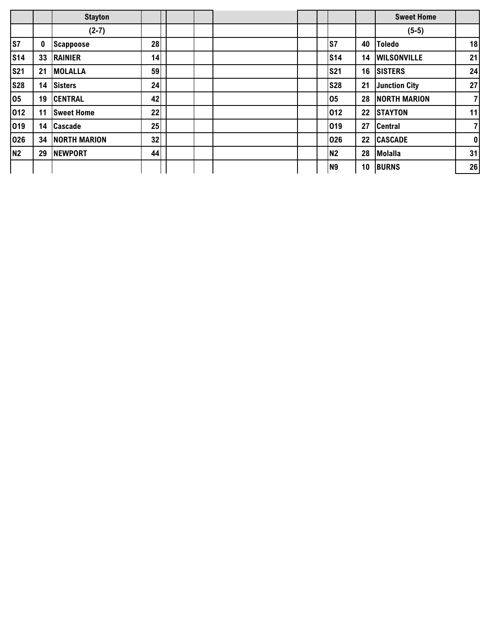|            |    | <b>Stayton</b>      |    |  |  |                |    | <b>Sweet Home</b>    |                |
|------------|----|---------------------|----|--|--|----------------|----|----------------------|----------------|
|            |    | $(2-7)$             |    |  |  |                |    | $(5-5)$              |                |
| <b>S7</b>  | 0  | <b>Scappoose</b>    | 28 |  |  | ls7            | 40 | <b>Toledo</b>        | 18             |
| <b>S14</b> | 33 | <b>RAINIER</b>      | 14 |  |  | <b>S14</b>     | 14 | <b>WILSONVILLE</b>   | 21             |
| <b>S21</b> | 21 | <b>MOLALLA</b>      | 59 |  |  | <b>S21</b>     | 16 | <b>SISTERS</b>       | 24             |
| <b>S28</b> | 14 | <b>Sisters</b>      | 24 |  |  | <b>S28</b>     | 21 | <b>Junction City</b> | 27             |
| 05         | 19 | <b>CENTRAL</b>      | 42 |  |  | 05             | 28 | <b>NORTH MARION</b>  | $\overline{7}$ |
| 012        | 11 | <b>Sweet Home</b>   | 22 |  |  | 012            | 22 | <b>STAYTON</b>       | 11             |
| 019        | 14 | <b>Cascade</b>      | 25 |  |  | 019            | 27 | <b>Central</b>       | $\overline{7}$ |
| 026        | 34 | <b>NORTH MARION</b> | 32 |  |  | 026            | 22 | <b>CASCADE</b>       | $\pmb{0}$      |
| <b>N2</b>  | 29 | <b>NEWPORT</b>      | 44 |  |  | <b>N2</b>      | 28 | <b>Molalla</b>       | 31             |
|            |    |                     |    |  |  | N <sub>9</sub> | 10 | <b>BURNS</b>         | 26             |